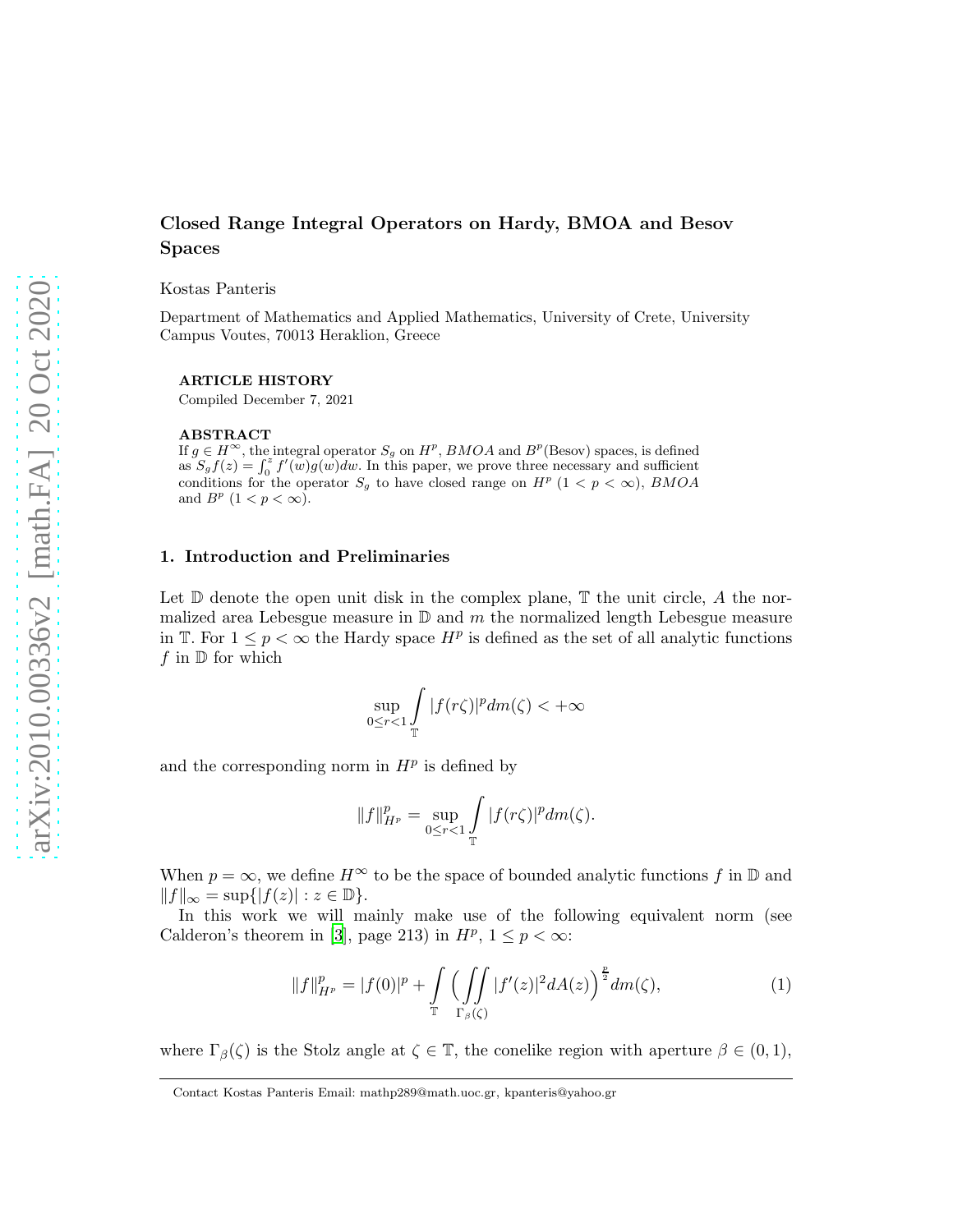# Closed Range Integral Operators on Hardy, BMOA and Besov Spaces

Kostas Panteris

Department of Mathematics and Applied Mathematics, University of Crete, University Campus Voutes, 70013 Heraklion, Greece

#### ARTICLE HISTORY

Compiled December 7, 2021

#### ABSTRACT

If  $g \in H^{\infty}$ , the integral operator  $S_g$  on  $H^p$ ,  $BMOA$  and  $B^p$ (Besov) spaces, is defined as  $S_g f(z) = \int_0^z f'(w)g(w)dw$ . In this paper, we prove three necessary and sufficient conditions for the operator  $S_g$  to have closed range on  $H^p$  (1 < p <  $\infty$ ), BMOA and  $B^p$   $(1 < p < \infty)$ .

## 1. Introduction and Preliminaries

Let  $\mathbb D$  denote the open unit disk in the complex plane,  $\mathbb T$  the unit circle, A the normalized area Lebesgue measure in  $\mathbb D$  and m the normalized length Lebesgue measure in T. For  $1 \leq p < \infty$  the Hardy space  $H^p$  is defined as the set of all analytic functions f in  $\mathbb D$  for which

$$
\sup_{0\leq r<1}\int\limits_{\mathbb{T}}|f(r\zeta)|^p dm(\zeta)<+\infty
$$

and the corresponding norm in  $H^p$  is defined by

$$
||f||_{H^p}^p = \sup_{0 \le r < 1} \int_{\mathbb{T}} |f(r\zeta)|^p dm(\zeta).
$$

When  $p = \infty$ , we define  $H^{\infty}$  to be the space of bounded analytic functions f in  $\mathbb{D}$  and  $||f||_{\infty} = \sup\{|f(z)| : z \in \mathbb{D}\}.$ 

In this work we will mainly make use of the following equivalent norm (see Calderon's theorem in [\[3](#page-17-0)], page 213) in  $H^p$ ,  $1 \leq p < \infty$ :

<span id="page-0-0"></span>
$$
||f||_{H^p}^p = |f(0)|^p + \int_{\mathbb{T}} \left( \int_{\Gamma_{\beta}(\zeta)} |f'(z)|^2 dA(z) \right)^{\frac{p}{2}} dm(\zeta), \tag{1}
$$

where  $\Gamma_{\beta}(\zeta)$  is the Stolz angle at  $\zeta \in \mathbb{T}$ , the conelike region with aperture  $\beta \in (0,1)$ ,

Contact Kostas Panteris Email: mathp289@math.uoc.gr, kpanteris@yahoo.gr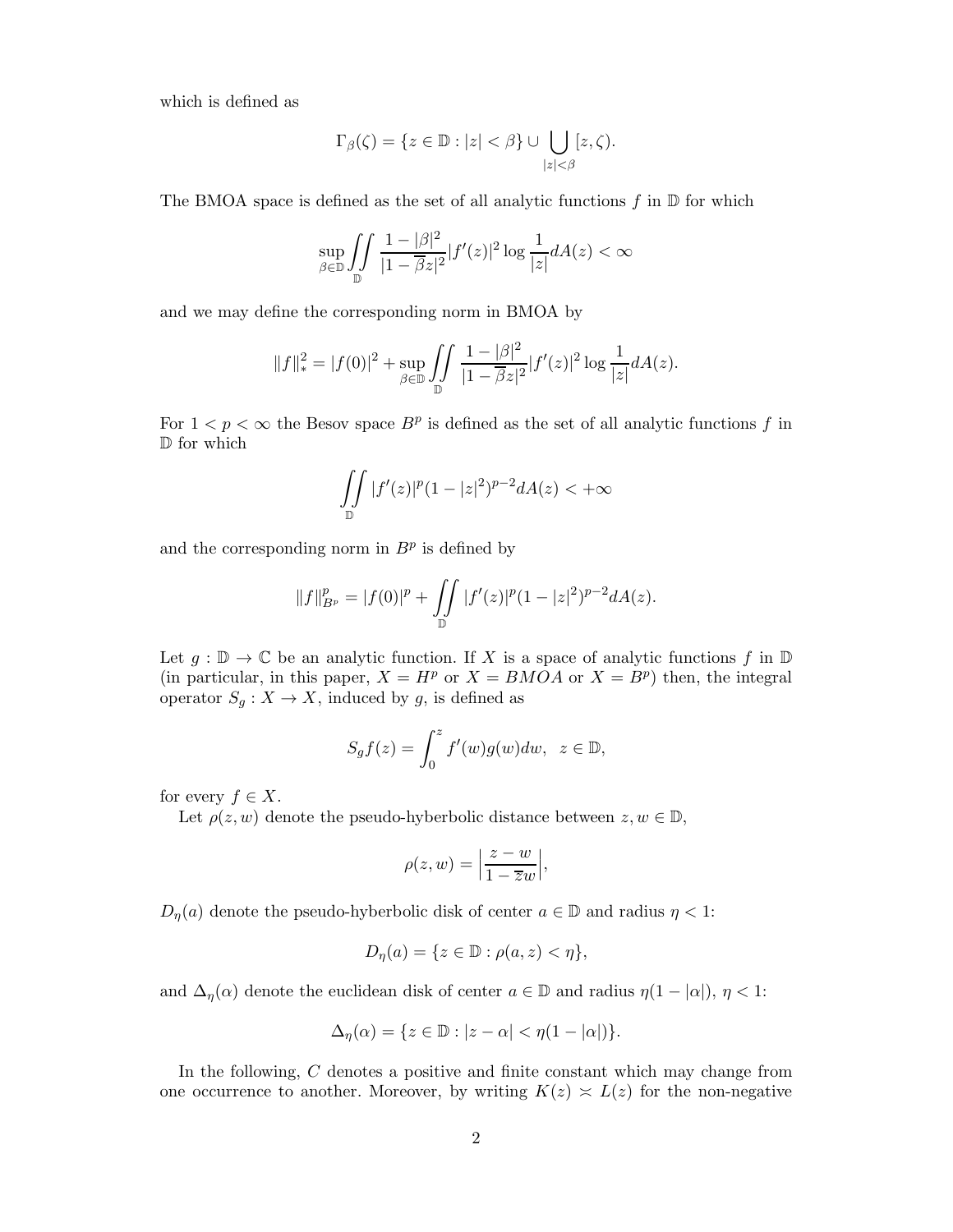which is defined as

$$
\Gamma_{\beta}(\zeta) = \{ z \in \mathbb{D} : |z| < \beta \} \cup \bigcup_{|z| < \beta} [z, \zeta).
$$

The BMOA space is defined as the set of all analytic functions  $f$  in  $\mathbb D$  for which

$$
\sup_{\beta \in \mathbb{D}} \iint_{\mathbb{D}} \frac{1 - |\beta|^2}{|1 - \overline{\beta}z|^2} |f'(z)|^2 \log \frac{1}{|z|} dA(z) < \infty
$$

and we may define the corresponding norm in BMOA by

$$
||f||_*^2 = |f(0)|^2 + \sup_{\beta \in \mathbb{D}} \iint_{\mathbb{D}} \frac{1 - |\beta|^2}{|1 - \overline{\beta}z|^2} |f'(z)|^2 \log \frac{1}{|z|} dA(z).
$$

For  $1 < p < \infty$  the Besov space  $B^p$  is defined as the set of all analytic functions f in D for which

$$
\iint\limits_{\mathbb{D}}|f'(z)|^p(1-|z|^2)^{p-2}dA(z)<+\infty
$$

and the corresponding norm in  $B<sup>p</sup>$  is defined by

$$
||f||_{B^p}^p = |f(0)|^p + \iint\limits_{\mathbb{D}} |f'(z)|^p (1 - |z|^2)^{p-2} dA(z).
$$

Let  $g : \mathbb{D} \to \mathbb{C}$  be an analytic function. If X is a space of analytic functions f in  $\mathbb{D}$ (in particular, in this paper,  $X = H^p$  or  $X = BMOA$  or  $X = B^p$ ) then, the integral operator  $S_g: X \to X$ , induced by g, is defined as

$$
S_g f(z) = \int_0^z f'(w)g(w)dw, \ \ z \in \mathbb{D},
$$

for every  $f \in X$ .

Let  $\rho(z, w)$  denote the pseudo-hyberbolic distance between  $z, w \in \mathbb{D}$ ,

$$
\rho(z, w) = \left| \frac{z - w}{1 - \overline{z}w} \right|,
$$

 $D_{\eta}(a)$  denote the pseudo-hyberbolic disk of center  $a \in \mathbb{D}$  and radius  $\eta < 1$ :

$$
D_{\eta}(a) = \{ z \in \mathbb{D} : \rho(a, z) < \eta \},
$$

and  $\Delta_{\eta}(\alpha)$  denote the euclidean disk of center  $a \in \mathbb{D}$  and radius  $\eta(1 - |\alpha|), \eta < 1$ :

$$
\Delta_{\eta}(\alpha) = \{ z \in \mathbb{D} : |z - \alpha| < \eta(1 - |\alpha|) \}.
$$

In the following, C denotes a positive and finite constant which may change from one occurrence to another. Moreover, by writing  $K(z) \approx L(z)$  for the non-negative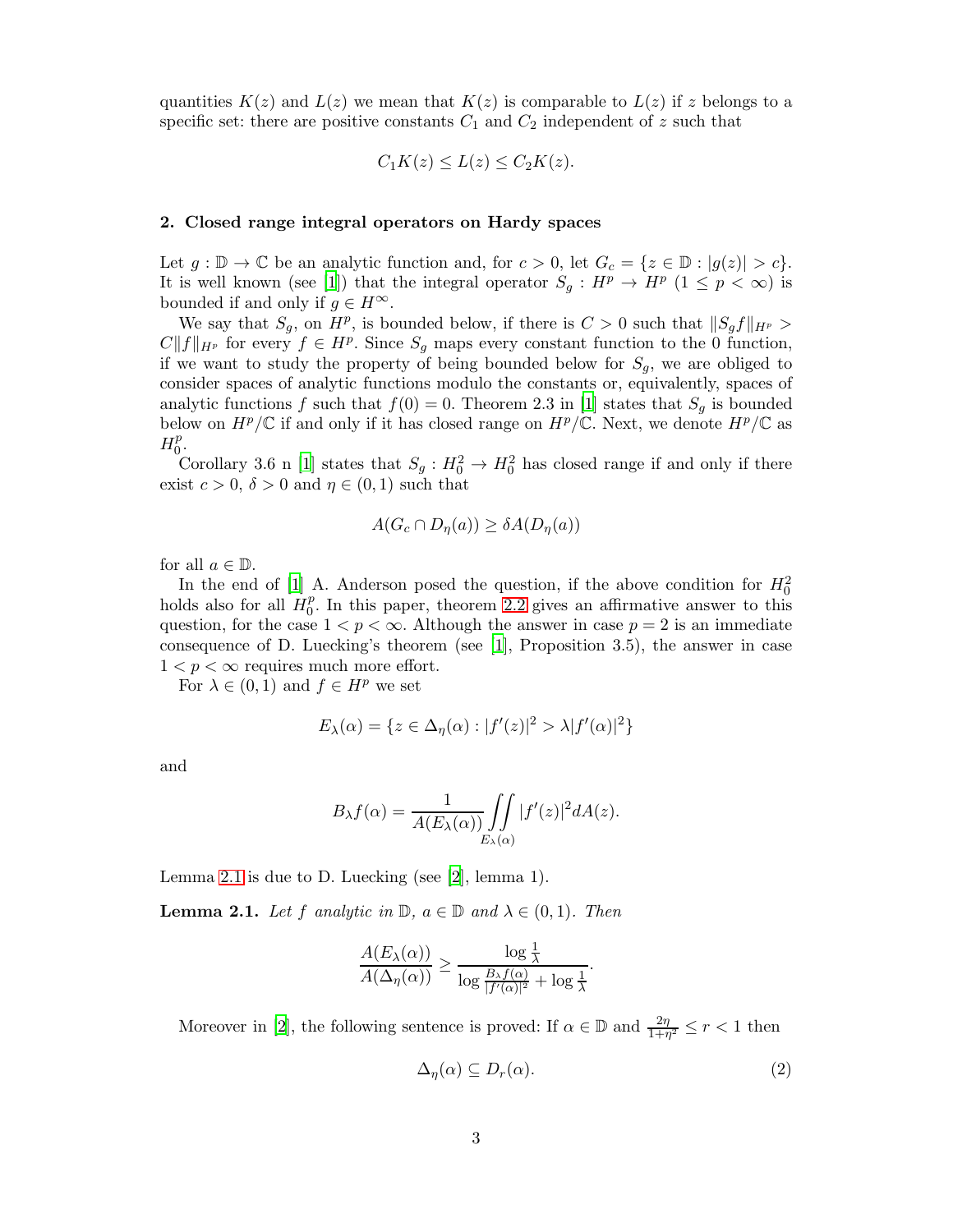quantities  $K(z)$  and  $L(z)$  we mean that  $K(z)$  is comparable to  $L(z)$  if z belongs to a specific set: there are positive constants  $C_1$  and  $C_2$  independent of z such that

$$
C_1K(z) \le L(z) \le C_2K(z).
$$

## 2. Closed range integral operators on Hardy spaces

Let  $g : \mathbb{D} \to \mathbb{C}$  be an analytic function and, for  $c > 0$ , let  $G_c = \{z \in \mathbb{D} : |g(z)| > c\}$ . It is well known (see [\[1](#page-17-1)]) that the integral operator  $S_g: H^p \to H^p$   $(1 \leq p < \infty)$  is bounded if and only if  $g \in H^{\infty}$ .

We say that  $S_g$ , on  $H^p$ , is bounded below, if there is  $C > 0$  such that  $||S_g f||_{H^p} >$  $C||f||_{H^p}$  for every  $f \in H^p$ . Since  $S_g$  maps every constant function to the 0 function, if we want to study the property of being bounded below for  $S_q$ , we are obliged to consider spaces of analytic functions modulo the constants or, equivalently, spaces of analytic functions f such that  $f(0) = 0$ . Theorem 2.3 in [\[1](#page-17-1)] states that  $S_q$  is bounded below on  $H^p/\mathbb{C}$  if and only if it has closed range on  $H^p/\mathbb{C}$ . Next, we denote  $H^p/\mathbb{C}$  as  $H_0^p$  $\frac{p}{0}$ .

Corollary 3.6 n [\[1\]](#page-17-1) states that  $S_g: H_0^2 \to H_0^2$  has closed range if and only if there exist  $c > 0$ ,  $\delta > 0$  and  $\eta \in (0, 1)$  such that

$$
A(G_c \cap D_{\eta}(a)) \geq \delta A(D_{\eta}(a))
$$

for all  $a \in \mathbb{D}$ .

In the end of [\[1\]](#page-17-1) A. Anderson posed the question, if the above condition for  $H_0^2$ holds also for all  $H_0^p$  $_{0}^{p}$ . In this paper, theorem [2.2](#page-3-0) gives an affirmative answer to this question, for the case  $1 < p < \infty$ . Although the answer in case  $p = 2$  is an immediate consequence of D. Luecking's theorem (see [\[1](#page-17-1)], Proposition 3.5), the answer in case  $1 < p < \infty$  requires much more effort.

For  $\lambda \in (0,1)$  and  $f \in H^p$  we set

$$
E_{\lambda}(\alpha) = \{ z \in \Delta_{\eta}(\alpha) : |f'(z)|^2 > \lambda |f'(\alpha)|^2 \}
$$

and

$$
B_{\lambda}f(\alpha) = \frac{1}{A(E_{\lambda}(\alpha))} \iint\limits_{E_{\lambda}(\alpha)} |f'(z)|^2 dA(z).
$$

Lemma [2.1](#page-2-0) is due to D. Luecking (see [\[2\]](#page-17-2), lemma 1).

<span id="page-2-0"></span>**Lemma 2.1.** Let f analytic in  $\mathbb{D}$ ,  $a \in \mathbb{D}$  and  $\lambda \in (0,1)$ . Then

$$
\frac{A(E_{\lambda}(\alpha))}{A(\Delta_{\eta}(\alpha))} \ge \frac{\log \frac{1}{\lambda}}{\log \frac{B_{\lambda}f(\alpha)}{|f'(\alpha)|^2} + \log \frac{1}{\lambda}}.
$$

Moreover in [\[2\]](#page-17-2), the following sentence is proved: If  $\alpha \in \mathbb{D}$  and  $\frac{2\eta}{1+\eta^2} \le r < 1$  then

<span id="page-2-1"></span>
$$
\Delta_{\eta}(\alpha) \subseteq D_r(\alpha). \tag{2}
$$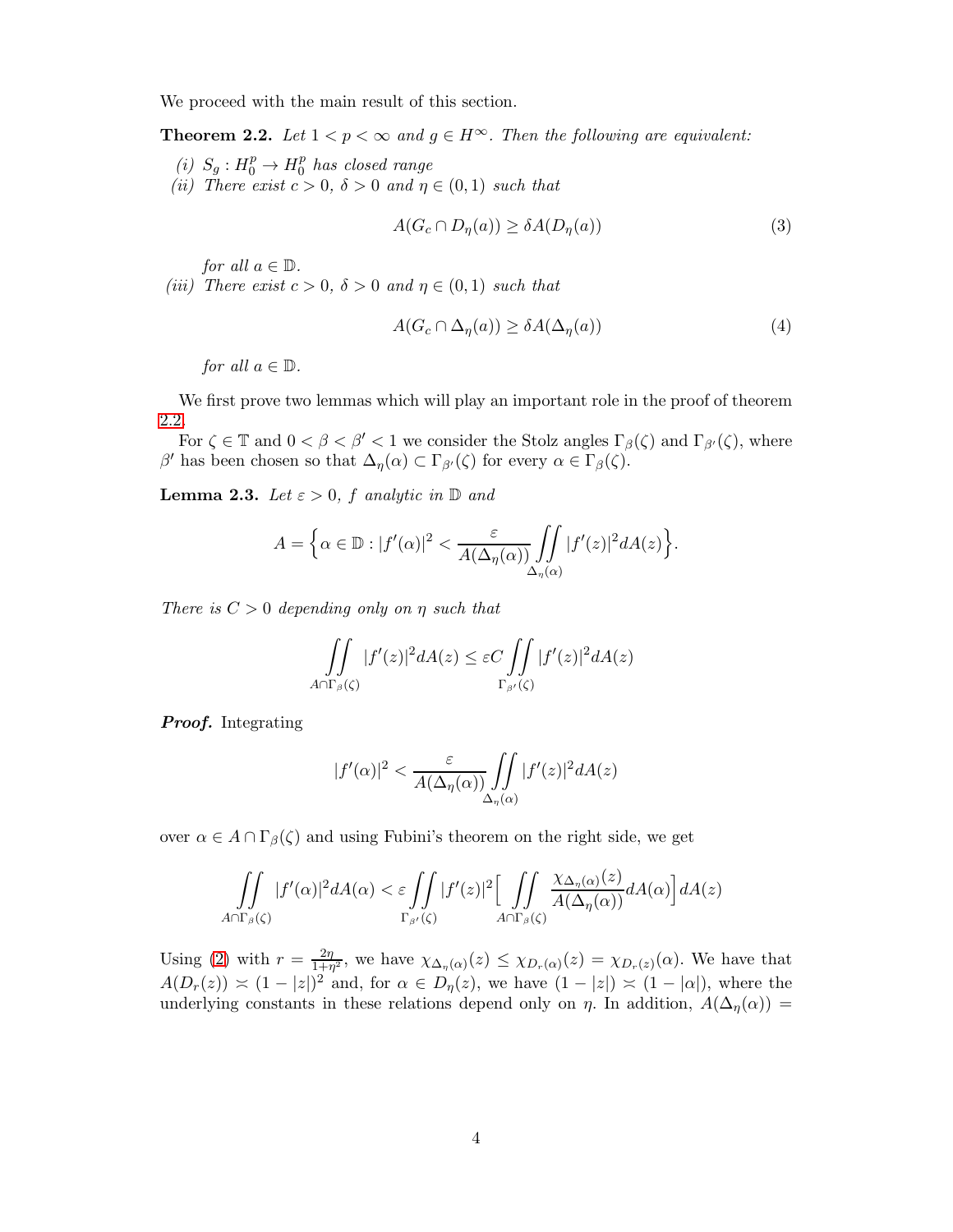We proceed with the main result of this section.

<span id="page-3-0"></span>**Theorem 2.2.** Let  $1 < p < \infty$  and  $g \in H^{\infty}$ . Then the following are equivalent:

- (*i*)  $S_g: H_0^p \to H_0^p$ 0 *has closed range*
- *(ii)* There exist  $c > 0$ ,  $\delta > 0$  and  $\eta \in (0, 1)$  such that

$$
A(G_c \cap D_{\eta}(a)) \geq \delta A(D_{\eta}(a))\tag{3}
$$

*for all*  $a \in \mathbb{D}$ *.* 

*(iii)* There exist  $c > 0$ ,  $\delta > 0$  and  $\eta \in (0, 1)$  such that

<span id="page-3-2"></span>
$$
A(G_c \cap \Delta_{\eta}(a)) \geq \delta A(\Delta_{\eta}(a))\tag{4}
$$

*for all*  $a \in \mathbb{D}$ *.* 

We first prove two lemmas which will play an important role in the proof of theorem [2.2.](#page-3-0)

For  $\zeta \in \mathbb{T}$  and  $0 < \beta < \beta' < 1$  we consider the Stolz angles  $\Gamma_{\beta}(\zeta)$  and  $\Gamma_{\beta'}(\zeta)$ , where β' has been chosen so that  $\Delta_{\eta}(\alpha) \subset \Gamma_{\beta'}(\zeta)$  for every  $\alpha \in \Gamma_{\beta}(\zeta)$ .

<span id="page-3-1"></span>**Lemma 2.3.** *Let*  $\varepsilon > 0$ *, f analytic in*  $\mathbb{D}$  *and* 

$$
A = \Big\{\alpha \in \mathbb{D} : |f'(\alpha)|^2 < \frac{\varepsilon}{A(\Delta_{\eta}(\alpha))} \iint\limits_{\Delta_{\eta}(\alpha)} |f'(z)|^2 dA(z) \Big\}.
$$

*There is* C > 0 *depending only on* η *such that*

$$
\iint_{A \cap \Gamma_{\beta}(\zeta)} |f'(z)|^2 dA(z) \leq \varepsilon C \iint_{\Gamma_{\beta'}(\zeta)} |f'(z)|^2 dA(z)
$$

**Proof.** Integrating

$$
|f'(\alpha)|^2 < \frac{\varepsilon}{A(\Delta_\eta(\alpha))} \iint\limits_{\Delta_\eta(\alpha)} |f'(z)|^2 dA(z)
$$

over  $\alpha \in A \cap \Gamma_{\beta}(\zeta)$  and using Fubini's theorem on the right side, we get

$$
\iint_{A\cap\Gamma_{\beta}(\zeta)}|f'(\alpha)|^2dA(\alpha) < \varepsilon \iint_{\Gamma_{\beta'}(\zeta)}|f'(z)|^2 \Big[\iint_{A\cap\Gamma_{\beta}(\zeta)}\frac{\chi_{\Delta_{\eta}(\alpha)}(z)}{A(\Delta_{\eta}(\alpha))}dA(\alpha)\Big]dA(z)
$$

Using [\(2\)](#page-2-1) with  $r = \frac{2\eta}{1+r}$  $\frac{2\eta}{1+\eta^2}$ , we have  $\chi_{\Delta_{\eta}(\alpha)}(z) \leq \chi_{D_r(\alpha)}(z) = \chi_{D_r(z)}(\alpha)$ . We have that  $A(D_r(z)) \asymp (1-|z|)^2$  and, for  $\alpha \in D_\eta(z)$ , we have  $(1-|z|) \asymp (1-|\alpha|)$ , where the underlying constants in these relations depend only on  $\eta$ . In addition,  $A(\Delta_{\eta}(\alpha))$  =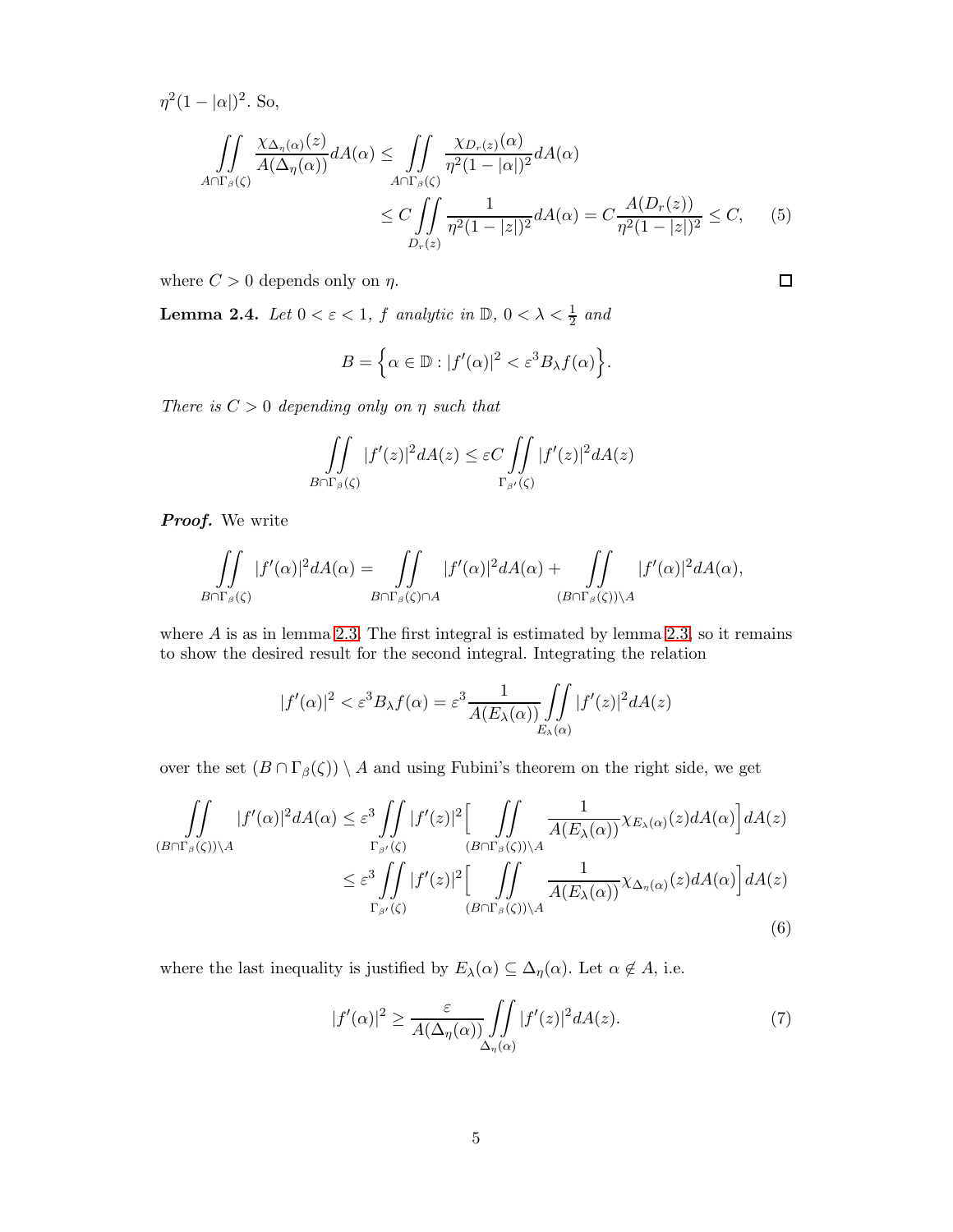$\eta^2(1-|\alpha|)^2$ . So,

$$
\iint_{A\cap\Gamma_{\beta}(\zeta)} \frac{\chi_{\Delta_{\eta}(\alpha)}(z)}{A(\Delta_{\eta}(\alpha))} dA(\alpha) \le \iint_{A\cap\Gamma_{\beta}(\zeta)} \frac{\chi_{D_r(z)}(\alpha)}{\eta^2 (1-|\alpha|)^2} dA(\alpha)
$$
  

$$
\le C \iint_{D_r(z)} \frac{1}{\eta^2 (1-|z|)^2} dA(\alpha) = C \frac{A(D_r(z))}{\eta^2 (1-|z|)^2} \le C,
$$
 (5)

<span id="page-4-3"></span> $\Box$ 

where  $C > 0$  depends only on  $\eta$ .

<span id="page-4-2"></span>**Lemma 2.4.** *Let*  $0 < \varepsilon < 1$ ,  $f$  *analytic in*  $\mathbb{D}$ ,  $0 < \lambda < \frac{1}{2}$  *and* 

$$
B = \left\{ \alpha \in \mathbb{D} : |f'(\alpha)|^2 < \varepsilon^3 B_\lambda f(\alpha) \right\}.
$$

*There is* C > 0 *depending only on* η *such that*

$$
\iint\limits_{B\cap\Gamma_\beta(\zeta)}|f'(z)|^2dA(z)\leq \varepsilon C\iint\limits_{\Gamma_{\beta'}(\zeta)}|f'(z)|^2dA(z)
$$

Proof. We write

$$
\iint\limits_{B\cap \Gamma_\beta(\zeta)}|f'(\alpha)|^2dA(\alpha)=\iint\limits_{B\cap \Gamma_\beta(\zeta)\cap A}|f'(\alpha)|^2dA(\alpha)+\iint\limits_{(B\cap \Gamma_\beta(\zeta))\setminus A}|f'(\alpha)|^2dA(\alpha),
$$

where  $A$  is as in lemma [2.3.](#page-3-1) The first integral is estimated by lemma [2.3,](#page-3-1) so it remains to show the desired result for the second integral. Integrating the relation

$$
|f'(\alpha)|^2 < \varepsilon^3 B_\lambda f(\alpha) = \varepsilon^3 \frac{1}{A(E_\lambda(\alpha))} \iint\limits_{E_\lambda(\alpha)} |f'(z)|^2 dA(z)
$$

over the set  $(B \cap \Gamma_\beta(\zeta)) \setminus A$  and using Fubini's theorem on the right side, we get

$$
\iint_{(B\cap\Gamma_{\beta}(\zeta))\backslash A} |f'(\alpha)|^2 dA(\alpha) \leq \varepsilon^3 \iint_{\Gamma_{\beta'}(\zeta)} |f'(z)|^2 \left[ \iint_{(B\cap\Gamma_{\beta}(\zeta))\backslash A} \frac{1}{A(E_{\lambda}(\alpha))} \chi_{E_{\lambda}(\alpha)}(z) dA(\alpha) \right] dA(z)
$$
  

$$
\leq \varepsilon^3 \iint_{\Gamma_{\beta'}(\zeta)} |f'(z)|^2 \left[ \iint_{(B\cap\Gamma_{\beta}(\zeta))\backslash A} \frac{1}{A(E_{\lambda}(\alpha))} \chi_{\Delta_{\eta}(\alpha)}(z) dA(\alpha) \right] dA(z)
$$
  
(6)

where the last inequality is justified by  $E_{\lambda}(\alpha) \subseteq \Delta_{\eta}(\alpha)$ . Let  $\alpha \notin A$ , i.e.

<span id="page-4-1"></span><span id="page-4-0"></span>
$$
|f'(\alpha)|^2 \ge \frac{\varepsilon}{A(\Delta_\eta(\alpha))} \iint\limits_{\Delta_\eta(\alpha)} |f'(z)|^2 dA(z). \tag{7}
$$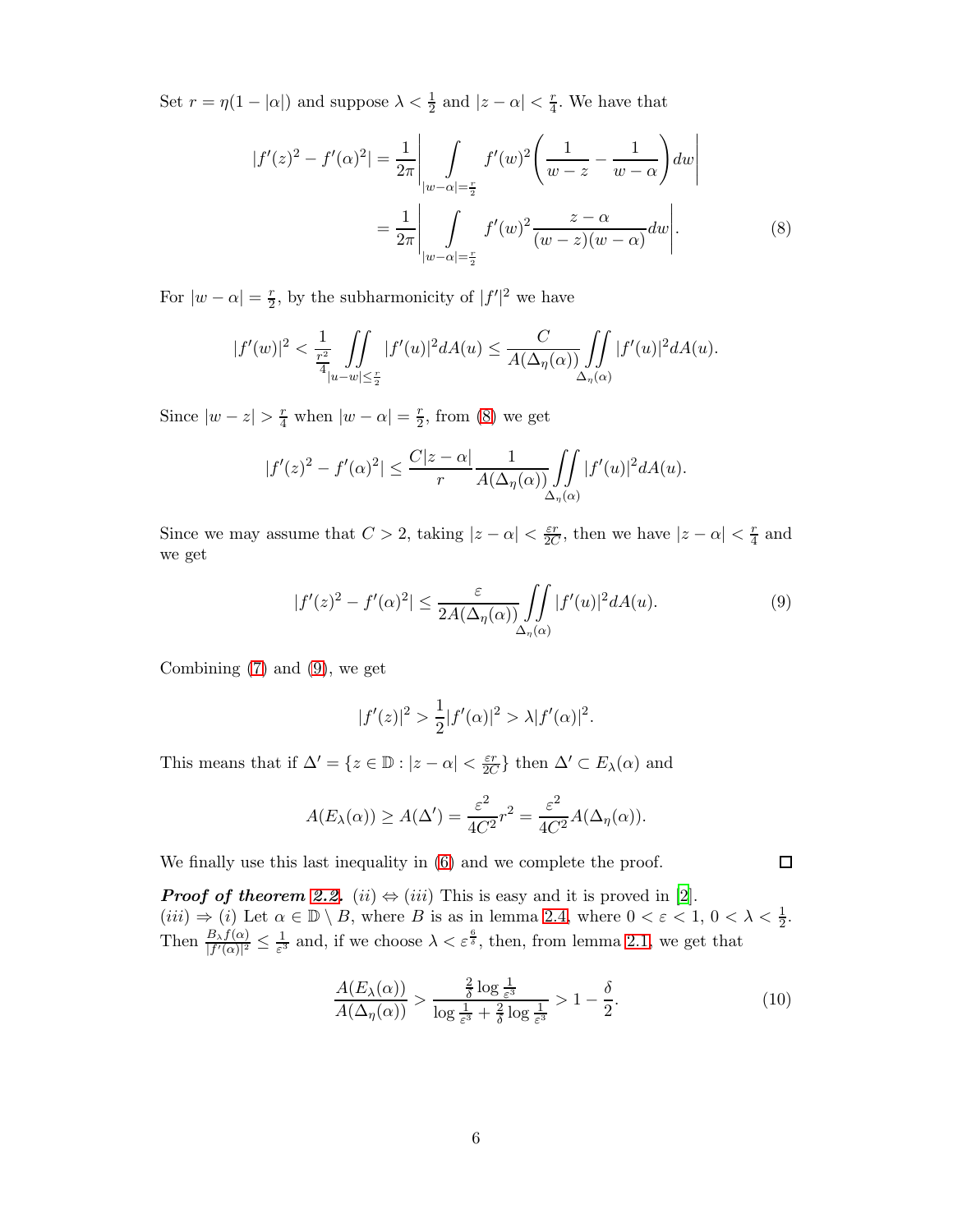Set  $r = \eta(1 - |\alpha|)$  and suppose  $\lambda < \frac{1}{2}$  and  $|z - \alpha| < \frac{r}{4}$  $\frac{r}{4}$ . We have that

<span id="page-5-0"></span>
$$
|f'(z)^2 - f'(\alpha)^2| = \frac{1}{2\pi} \left| \int_{|w-\alpha|=\frac{r}{2}} f'(w)^2 \left( \frac{1}{w-z} - \frac{1}{w-\alpha} \right) dw \right|
$$
  
= 
$$
\frac{1}{2\pi} \left| \int_{|w-\alpha|=\frac{r}{2}} f'(w)^2 \frac{z-\alpha}{(w-z)(w-\alpha)} dw \right|.
$$
 (8)

For  $|w - \alpha| = \frac{r}{2}$  $\frac{r}{2}$ , by the subharmonicity of  $|f'|^2$  we have

$$
|f'(w)|^2 < \frac{1}{\frac{r^2}{4}} \iint\limits_{|u-w| \leq \frac{r}{2}} |f'(u)|^2 dA(u) \leq \frac{C}{A(\Delta_\eta(\alpha))} \iint\limits_{\Delta_\eta(\alpha)} |f'(u)|^2 dA(u).
$$

Since  $|w - z| > \frac{r}{4}$  when  $|w - \alpha| = \frac{r}{2}$  $\frac{r}{2}$ , from [\(8\)](#page-5-0) we get

$$
|f'(z)|^2 - f'(\alpha)^2| \le \frac{C|z-\alpha|}{r} \frac{1}{A(\Delta_{\eta}(\alpha))} \iint\limits_{\Delta_{\eta}(\alpha)} |f'(u)|^2 dA(u).
$$

Since we may assume that  $C > 2$ , taking  $|z - \alpha| < \frac{\varepsilon r}{2C}$  $\frac{\varepsilon r}{2C}$ , then we have  $|z - \alpha| < \frac{r}{4}$  $rac{r}{4}$  and we get

<span id="page-5-1"></span>
$$
|f'(z)|^2 - f'(\alpha)^2| \le \frac{\varepsilon}{2A(\Delta_\eta(\alpha))} \iint\limits_{\Delta_\eta(\alpha)} |f'(u)|^2 dA(u). \tag{9}
$$

Combining [\(7\)](#page-4-0) and [\(9\)](#page-5-1), we get

$$
|f'(z)|^2 > \frac{1}{2}|f'(\alpha)|^2 > \lambda |f'(\alpha)|^2.
$$

This means that if  $\Delta' = \{z \in \mathbb{D} : |z - \alpha| < \frac{\varepsilon r}{2C}$  $\frac{\varepsilon r}{2C}$  then  $\Delta' \subset E_\lambda(\alpha)$  and

$$
A(E_{\lambda}(\alpha)) \ge A(\Delta') = \frac{\varepsilon^2}{4C^2} r^2 = \frac{\varepsilon^2}{4C^2} A(\Delta_{\eta}(\alpha)).
$$

We finally use this last inequality in [\(6\)](#page-4-1) and we complete the proof.

**Proof of theorem [2.2.](#page-3-0)** (ii)  $\Leftrightarrow$  (iii) This is easy and it is proved in [\[2](#page-17-2)].  $(iii) \Rightarrow (i)$  Let  $\alpha \in \mathbb{D} \setminus B$ , where B is as in lemma [2.4,](#page-4-2) where  $0 < \varepsilon < 1$ ,  $0 < \lambda < \frac{1}{2}$ . Then  $\frac{B_\lambda f(\alpha)}{|f'(\alpha)|^2} \leq \frac{1}{\varepsilon^3}$  $\frac{1}{\varepsilon^3}$  and, if we choose  $\lambda < \varepsilon^{\frac{6}{\delta}}$ , then, from lemma [2.1,](#page-2-0) we get that

$$
\frac{A(E_{\lambda}(\alpha))}{A(\Delta_{\eta}(\alpha))} > \frac{\frac{2}{\delta}\log\frac{1}{\varepsilon^3}}{\log\frac{1}{\varepsilon^3} + \frac{2}{\delta}\log\frac{1}{\varepsilon^3}} > 1 - \frac{\delta}{2}.
$$
\n(10)

<span id="page-5-2"></span> $\Box$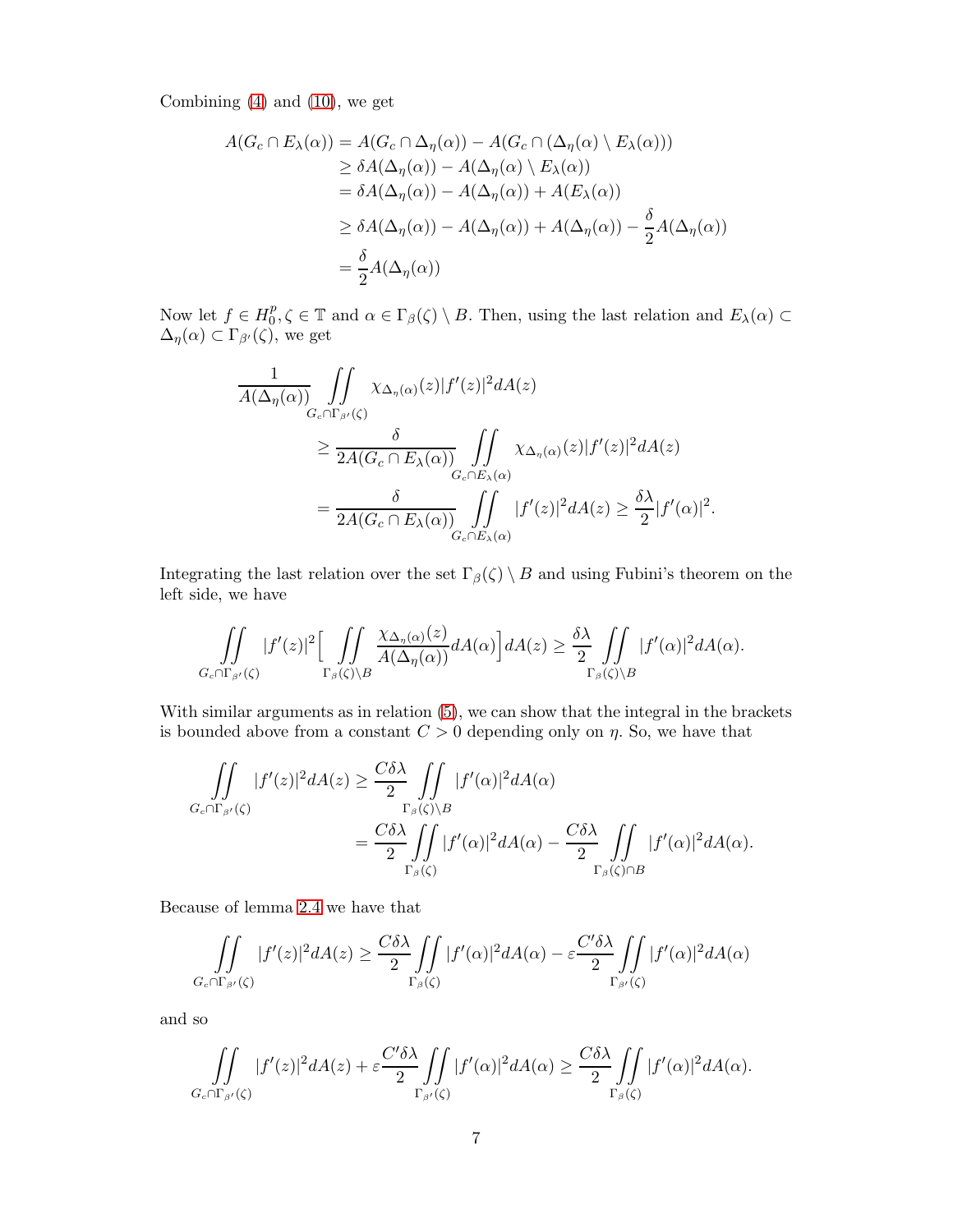Combining [\(4\)](#page-3-2) and [\(10\)](#page-5-2), we get

$$
A(G_c \cap E_{\lambda}(\alpha)) = A(G_c \cap \Delta_{\eta}(\alpha)) - A(G_c \cap (\Delta_{\eta}(\alpha) \setminus E_{\lambda}(\alpha)))
$$
  
\n
$$
\geq \delta A(\Delta_{\eta}(\alpha)) - A(\Delta_{\eta}(\alpha) \setminus E_{\lambda}(\alpha))
$$
  
\n
$$
= \delta A(\Delta_{\eta}(\alpha)) - A(\Delta_{\eta}(\alpha)) + A(E_{\lambda}(\alpha))
$$
  
\n
$$
\geq \delta A(\Delta_{\eta}(\alpha)) - A(\Delta_{\eta}(\alpha)) + A(\Delta_{\eta}(\alpha)) - \frac{\delta}{2}A(\Delta_{\eta}(\alpha))
$$
  
\n
$$
= \frac{\delta}{2}A(\Delta_{\eta}(\alpha))
$$

Now let  $f \in H_0^p$  $\{B_0^p, \zeta \in \mathbb{T} \text{ and } \alpha \in \Gamma_\beta(\zeta) \setminus B. \text{ Then, using the last relation and } E_\lambda(\alpha) \subset$  $\Delta_{\eta}(\alpha) \subset \Gamma_{\beta'}(\zeta)$ , we get

$$
\frac{1}{A(\Delta_{\eta}(\alpha))}\iint_{G_c \cap \Gamma_{\beta'}(\zeta)} \chi_{\Delta_{\eta}(\alpha)}(z)|f'(z)|^2 dA(z)
$$
\n
$$
\geq \frac{\delta}{2A(G_c \cap E_{\lambda}(\alpha))}\iint_{G_c \cap E_{\lambda}(\alpha)} \chi_{\Delta_{\eta}(\alpha)}(z)|f'(z)|^2 dA(z)
$$
\n
$$
=\frac{\delta}{2A(G_c \cap E_{\lambda}(\alpha))}\iint_{G_c \cap E_{\lambda}(\alpha)} |f'(z)|^2 dA(z) \geq \frac{\delta \lambda}{2}|f'(\alpha)|^2.
$$

Integrating the last relation over the set  $\Gamma_{\beta}(\zeta) \setminus B$  and using Fubini's theorem on the left side, we have

$$
\iint\limits_{G_c \cap \Gamma_{\beta'}(\zeta)} |f'(z)|^2 \Big[ \iint\limits_{\Gamma_{\beta}(\zeta) \backslash B} \frac{\chi_{\Delta_{\eta}(\alpha)}(z)}{A(\Delta_{\eta}(\alpha))} dA(\alpha) \Big] dA(z) \geq \frac{\delta \lambda}{2} \iint\limits_{\Gamma_{\beta}(\zeta) \backslash B} |f'(\alpha)|^2 dA(\alpha).
$$

With similar arguments as in relation  $(5)$ , we can show that the integral in the brackets is bounded above from a constant  $C > 0$  depending only on  $\eta$ . So, we have that

$$
\iint\limits_{G_c \cap \Gamma_{\beta'}(\zeta)} |f'(z)|^2 dA(z) \geq \frac{C\delta\lambda}{2} \iint\limits_{\Gamma_{\beta}(\zeta) \backslash B} |f'(\alpha)|^2 dA(\alpha)
$$

$$
= \frac{C\delta\lambda}{2} \iint\limits_{\Gamma_{\beta}(\zeta)} |f'(\alpha)|^2 dA(\alpha) - \frac{C\delta\lambda}{2} \iint\limits_{\Gamma_{\beta}(\zeta) \cap B} |f'(\alpha)|^2 dA(\alpha).
$$

Because of lemma [2.4](#page-4-2) we have that

$$
\iint\limits_{G_c \cap \Gamma_{\beta'}(\zeta)} |f'(z)|^2 dA(z) \ge \frac{C \delta \lambda}{2} \iint\limits_{\Gamma_{\beta}(\zeta)} |f'(\alpha)|^2 dA(\alpha) - \varepsilon \frac{C' \delta \lambda}{2} \iint\limits_{\Gamma_{\beta'}(\zeta)} |f'(\alpha)|^2 dA(\alpha)
$$

and so

$$
\iint\limits_{G_c \cap \Gamma_{\beta'}(\zeta)} |f'(z)|^2 dA(z) + \varepsilon \frac{C'\delta \lambda}{2} \iint\limits_{\Gamma_{\beta'}(\zeta)} |f'(\alpha)|^2 dA(\alpha) \ge \frac{C\delta \lambda}{2} \iint\limits_{\Gamma_{\beta}(\zeta)} |f'(\alpha)|^2 dA(\alpha).
$$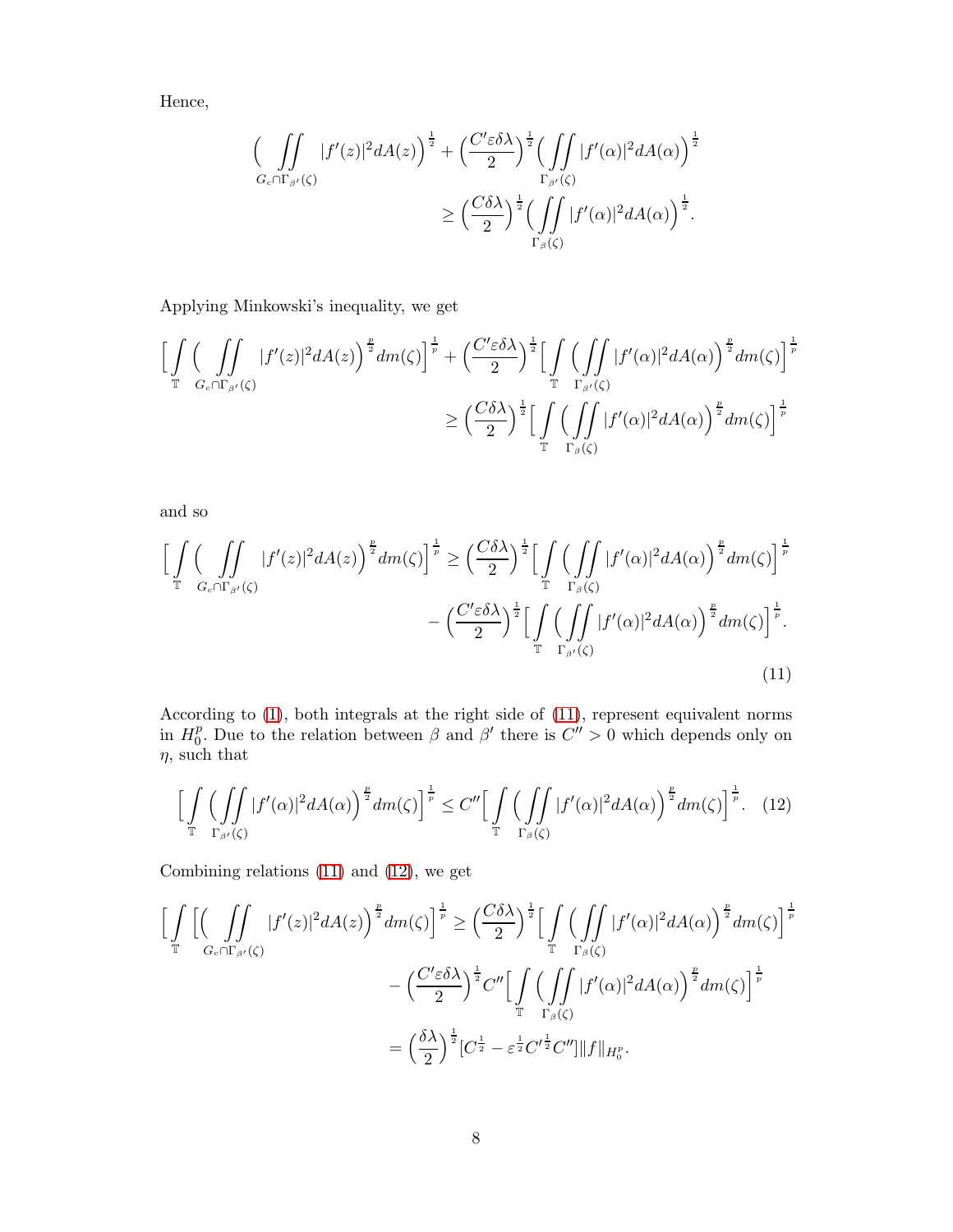Hence,

$$
\left(\int\int\limits_{G_c \cap \Gamma_{\beta'}(\zeta)} |f'(z)|^2 dA(z)\right)^{\frac{1}{2}} + \left(\frac{C'\varepsilon \delta \lambda}{2}\right)^{\frac{1}{2}} \left(\int\limits_{\Gamma_{\beta'}(\zeta)} |f'(\alpha)|^2 dA(\alpha)\right)^{\frac{1}{2}}
$$

$$
\geq \left(\frac{C\delta \lambda}{2}\right)^{\frac{1}{2}} \left(\int\limits_{\Gamma_{\beta}(\zeta)} |f'(\alpha)|^2 dA(\alpha)\right)^{\frac{1}{2}}.
$$

Applying Minkowski's inequality, we get

$$
\left[\int_{\mathbb{T}}\left(\int_{G_{c}\cap\Gamma_{\beta'}(\zeta)}|f'(z)|^{2}dA(z)\right)^{\frac{p}{2}}dm(\zeta)\right]^{\frac{1}{p}}+\left(\frac{C'\varepsilon\delta\lambda}{2}\right)^{\frac{1}{2}}\left[\int_{\mathbb{T}}\left(\int_{\Gamma_{\beta'}(\zeta)}|f'(\alpha)|^{2}dA(\alpha)\right)^{\frac{p}{2}}dm(\zeta)\right]^{\frac{1}{p}}\n\geq \left(\frac{C\delta\lambda}{2}\right)^{\frac{1}{2}}\left[\int_{\mathbb{T}}\left(\int_{\Gamma_{\beta}(\zeta)}|f'(\alpha)|^{2}dA(\alpha)\right)^{\frac{p}{2}}dm(\zeta)\right]^{\frac{1}{p}}
$$

and so

$$
\left[\int_{\mathbb{T}}\left(\iint_{G_{c}\cap\Gamma_{\beta'}(\zeta)}|f'(z)|^{2}dA(z)\right)^{\frac{p}{2}}dm(\zeta)\right]^{\frac{1}{p}} \geq \left(\frac{C\delta\lambda}{2}\right)^{\frac{1}{2}}\left[\int_{\mathbb{T}}\left(\iint_{\Gamma_{\beta}(\zeta)}|f'(\alpha)|^{2}dA(\alpha)\right)^{\frac{p}{2}}dm(\zeta)\right]^{\frac{1}{p}} - \left(\frac{C'\varepsilon\delta\lambda}{2}\right)^{\frac{1}{2}}\left[\int_{\mathbb{T}}\left(\iint_{\Gamma_{\beta'}(\zeta)}|f'(\alpha)|^{2}dA(\alpha)\right)^{\frac{p}{2}}dm(\zeta)\right]^{\frac{1}{p}}.
$$
\n(11)

According to [\(1\)](#page-0-0), both integrals at the right side of [\(11\)](#page-7-0), represent equivalent norms in  $H_0^p$ <sup>*p*</sup>. Due to the relation between  $\beta$  and  $\beta'$  there is  $C'' > 0$  which depends only on  $\eta$ , such that

<span id="page-7-1"></span><span id="page-7-0"></span>
$$
\left[\int\limits_{\mathbb{T}}\left(\iint\limits_{\Gamma_{\beta'}(\zeta)}|f'(\alpha)|^2dA(\alpha)\right)^{\frac{p}{2}}dm(\zeta)\right]^{\frac{1}{p}}\leq C''\left[\int\limits_{\mathbb{T}}\left(\iint\limits_{\Gamma_{\beta}(\zeta)}|f'(\alpha)|^2dA(\alpha)\right)^{\frac{p}{2}}dm(\zeta)\right]^{\frac{1}{p}}.\tag{12}
$$

Combining relations [\(11\)](#page-7-0) and [\(12\)](#page-7-1), we get

$$
\left[\int_{\mathbb{T}}\left[\left(\int_{G_{c}\cap\Gamma_{\beta'}(\zeta)}|f'(z)|^{2}dA(z)\right)^{\frac{p}{2}}dm(\zeta)\right]^{\frac{1}{p}}\geq \left(\frac{C\delta\lambda}{2}\right)^{\frac{1}{2}}\left[\int_{\mathbb{T}}\left(\int_{\Gamma_{\beta}(\zeta)}|f'(\alpha)|^{2}dA(\alpha)\right)^{\frac{p}{2}}dm(\zeta)\right]^{\frac{1}{p}}\\-\left(\frac{C'\varepsilon\delta\lambda}{2}\right)^{\frac{1}{2}}C''\left[\int_{\mathbb{T}}\left(\int_{\Gamma_{\beta}(\zeta)}|f'(\alpha)|^{2}dA(\alpha)\right)^{\frac{p}{2}}dm(\zeta)\right]^{\frac{1}{p}}\\=\left(\frac{\delta\lambda}{2}\right)^{\frac{1}{2}}\left[C^{\frac{1}{2}}-\varepsilon^{\frac{1}{2}}C'^{\frac{1}{2}}C''\right]\|f\|_{H_{0}^{p}}.
$$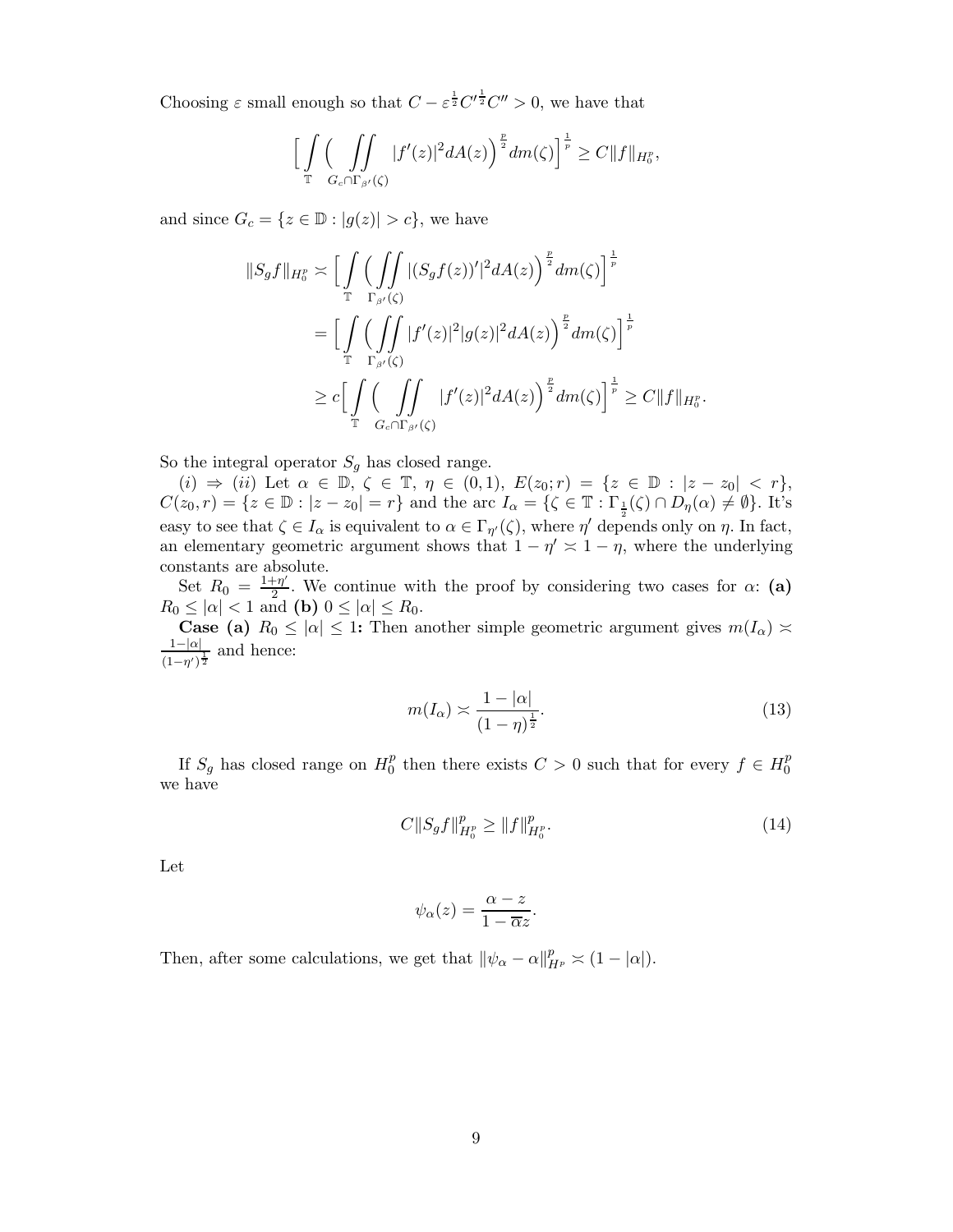Choosing  $\varepsilon$  small enough so that  $C - \varepsilon^{\frac{1}{2}} C^{\prime \frac{1}{2}} C^{\prime \prime} > 0$ , we have that

$$
\Big[\int\limits_{\mathbb{T}}\Big(\int\limits_{G_c\cap\Gamma_{\beta'}(\zeta)}|f'(z)|^2dA(z)\Big)^{\frac{p}{2}}dm(\zeta)\Big]^{\frac{1}{p}}\geq C\|f\|_{H^p_0},
$$

and since  $G_c = \{z \in \mathbb{D} : |g(z)| > c\}$ , we have

$$
||S_g f||_{H_0^p} \asymp \Big[ \int_{\mathbb{T}} \Big( \int_{\Gamma_{\beta'}(\zeta)} |(S_g f(z))'|^2 dA(z) \Big)^{\frac{p}{2}} dm(\zeta) \Big]^{\frac{1}{p}}
$$
  

$$
= \Big[ \int_{\mathbb{T}} \Big( \int_{\Gamma_{\beta'}(\zeta)} |f'(z)|^2 |g(z)|^2 dA(z) \Big)^{\frac{p}{2}} dm(\zeta) \Big]^{\frac{1}{p}}
$$
  

$$
\geq c \Big[ \int_{\mathbb{T}} \Big( \int_{G_c \cap \Gamma_{\beta'}(\zeta)} |f'(z)|^2 dA(z) \Big)^{\frac{p}{2}} dm(\zeta) \Big]^{\frac{1}{p}} \geq C ||f||_{H_0^p}.
$$

So the integral operator  $S_q$  has closed range.

(i)  $\Rightarrow$  (ii) Let  $\alpha \in \mathbb{D}, \zeta \in \mathbb{T}, \eta \in (0,1), E(z_0; r) = \{z \in \mathbb{D} : |z - z_0| < r\},\$  $C(z_0,r) = \{z \in \mathbb{D} : |z - z_0| = r\}$  and the arc  $I_\alpha = \{\zeta \in \mathbb{T} : \Gamma_{\frac{1}{2}}(\zeta) \cap D_\eta(\alpha) \neq \emptyset\}$ . It's easy to see that  $\zeta \in I_\alpha$  is equivalent to  $\alpha \in \Gamma_{\eta'}(\zeta)$ , where  $\eta'$  depends only on  $\eta$ . In fact, an elementary geometric argument shows that  $1 - \eta' \approx 1 - \eta$ , where the underlying constants are absolute.

Set  $R_0 = \frac{1 + \eta'}{2}$  $\frac{2\pi}{2}$ . We continue with the proof by considering two cases for  $\alpha$ : (a)  $R_0 \leq |\alpha| < 1$  and (b)  $0 \leq |\alpha| \leq R_0$ .

**Case** (a)  $R_0 \leq |\alpha| \leq 1$ : Then another simple geometric argument gives  $m(I_\alpha)$   $\approx$  $1-|\alpha|$  $\frac{1-|\alpha|}{(1-\eta')^{\frac{1}{2}}}$  and hence:

<span id="page-8-1"></span>
$$
m(I_{\alpha}) \asymp \frac{1 - |\alpha|}{(1 - \eta)^{\frac{1}{2}}}.\tag{13}
$$

If  $S_g$  has closed range on  $H_0^p$  $\frac{p}{0}$  then there exists  $C > 0$  such that for every  $f \in H_0^p$ 0 we have

<span id="page-8-0"></span>
$$
C||S_g f||_{H_0^p}^p \ge ||f||_{H_0^p}^p. \tag{14}
$$

Let

$$
\psi_{\alpha}(z) = \frac{\alpha - z}{1 - \overline{\alpha}z}.
$$

Then, after some calculations, we get that  $\|\psi_\alpha - \alpha\|_{H^p}^p \asymp (1 - |\alpha|)$ .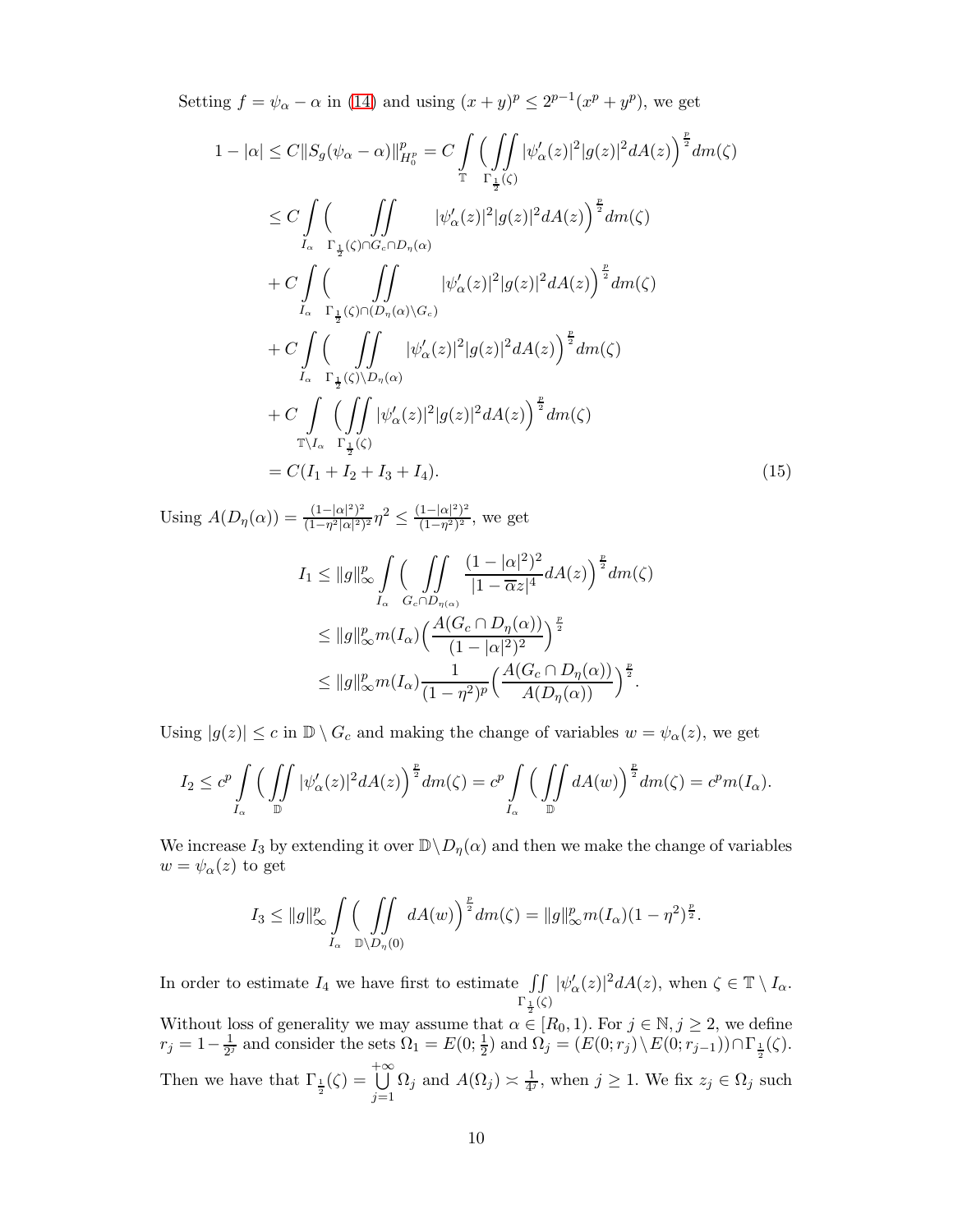Setting  $f = \psi_{\alpha} - \alpha$  in [\(14\)](#page-8-0) and using  $(x + y)^p \le 2^{p-1}(x^p + y^p)$ , we get

$$
1 - |\alpha| \le C ||S_g(\psi_{\alpha} - \alpha)||_{H_0^p}^p = C \int_{\mathbb{T}} \left( \int_{\mathbb{T}} |\psi_{\alpha}'(z)|^2 |g(z)|^2 dA(z) \right)^{\frac{p}{2}} dm(\zeta)
$$
  
\n
$$
\le C \int_{I_{\alpha}} \left( \int_{\mathbb{T}_{\frac{1}{2}}(\zeta) \cap G_c \cap D_{\eta}(\alpha)} |\psi_{\alpha}'(z)|^2 |g(z)|^2 dA(z) \right)^{\frac{p}{2}} dm(\zeta)
$$
  
\n
$$
+ C \int_{I_{\alpha}} \left( \int_{\mathbb{T}_{\frac{1}{2}}(\zeta) \cap (D_{\eta}(\alpha) \setminus G_c)} |\psi_{\alpha}'(z)|^2 |g(z)|^2 dA(z) \right)^{\frac{p}{2}} dm(\zeta)
$$
  
\n
$$
+ C \int_{I_{\alpha}} \left( \int_{\mathbb{T}_{\frac{1}{2}}(\zeta) \setminus D_{\eta}(\alpha)} |\psi_{\alpha}'(z)|^2 |g(z)|^2 dA(z) \right)^{\frac{p}{2}} dm(\zeta)
$$
  
\n
$$
+ C \int_{I_{\alpha}} \left( \int_{\mathbb{T}_{\frac{1}{2}}(\zeta) \setminus D_{\eta}(\alpha)} |\psi_{\alpha}'(z)|^2 |g(z)|^2 dA(z) \right)^{\frac{p}{2}} dm(\zeta)
$$
  
\n
$$
\mathbb{T}_{I_{\alpha}} \Gamma_{\frac{1}{2}}(\zeta)
$$
  
\n
$$
= C(I_1 + I_2 + I_3 + I_4).
$$
 (15)

Using  $A(D_{\eta}(\alpha)) = \frac{(1-|\alpha|^2)^2}{(1-n^2|\alpha|^2)}$  $\frac{(1-|\alpha|^2)^2}{(1-\eta^2|\alpha|^2)^2}\eta^2 \leq \frac{(1-|\alpha|^2)^2}{(1-\eta^2)^2}$  $\frac{1-|\alpha|^{-1}}{(1-\eta^2)^2}$ , we get

<span id="page-9-0"></span>
$$
I_1 \leq ||g||_{\infty}^p \int_{I_{\alpha}} \left( \iint_{G_c \cap D_{\eta(\alpha)}} \frac{(1-|\alpha|^2)^2}{|1-\overline{\alpha}z|^4} dA(z) \right)^{\frac{p}{2}} dm(\zeta)
$$
  

$$
\leq ||g||_{\infty}^p m(I_{\alpha}) \left( \frac{A(G_c \cap D_{\eta}(\alpha))}{(1-|\alpha|^2)^2} \right)^{\frac{p}{2}}
$$
  

$$
\leq ||g||_{\infty}^p m(I_{\alpha}) \frac{1}{(1-\eta^2)^p} \left( \frac{A(G_c \cap D_{\eta}(\alpha))}{A(D_{\eta}(\alpha))} \right)^{\frac{p}{2}}.
$$

Using  $|g(z)| \leq c$  in  $\mathbb{D} \setminus G_c$  and making the change of variables  $w = \psi_\alpha(z)$ , we get

$$
I_2 \leq c^p \int\limits_{I_\alpha} \Big( \iint\limits_{\mathbb{D}} |\psi_\alpha'(z)|^2 dA(z) \Big)^{\frac{p}{2}} dm(\zeta) = c^p \int\limits_{I_\alpha} \Big( \iint\limits_{\mathbb{D}} dA(w) \Big)^{\frac{p}{2}} dm(\zeta) = c^p m(I_\alpha).
$$

We increase  $I_3$  by extending it over  $\mathbb{D}\setminus D_\eta(\alpha)$  and then we make the change of variables  $w = \psi_\alpha(z)$  to get

$$
I_3 \leq ||g||_{\infty}^p \int\limits_{I_{\alpha}} \left( \iint\limits_{\mathbb{D}\setminus D_{\eta}(0)} dA(w) \right)^{\frac{p}{2}} dm(\zeta) = ||g||_{\infty}^p m(I_{\alpha})(1-\eta^2)^{\frac{p}{2}}.
$$

In order to estimate  $I_4$  we have first to estimate  $\iint$  $\Gamma_1(\zeta)$ Without loss of generality we may assume that  $\alpha \in [R_0, 1)$ . For  $j \in \mathbb{N}, j \ge 2$ , we define  $|\psi_{\alpha}'(z)|^2 dA(z)$ , when  $\zeta \in \mathbb{T} \setminus I_{\alpha}$ .

 $r_j = 1 - \frac{1}{2^j}$  and consider the sets  $\Omega_1 = E(0; \frac{1}{2})$  and  $\Omega_j = (E(0; r_j) \setminus E(0; r_{j-1})) \cap \Gamma_{\frac{1}{2}}(\zeta)$ . Then we have that  $\Gamma_{\frac{1}{2}}(\zeta) =$ + S∞  $j=1$  $\Omega_j$  and  $A(\Omega_j) \asymp \frac{1}{4^j}$ , when  $j \ge 1$ . We fix  $z_j \in \Omega_j$  such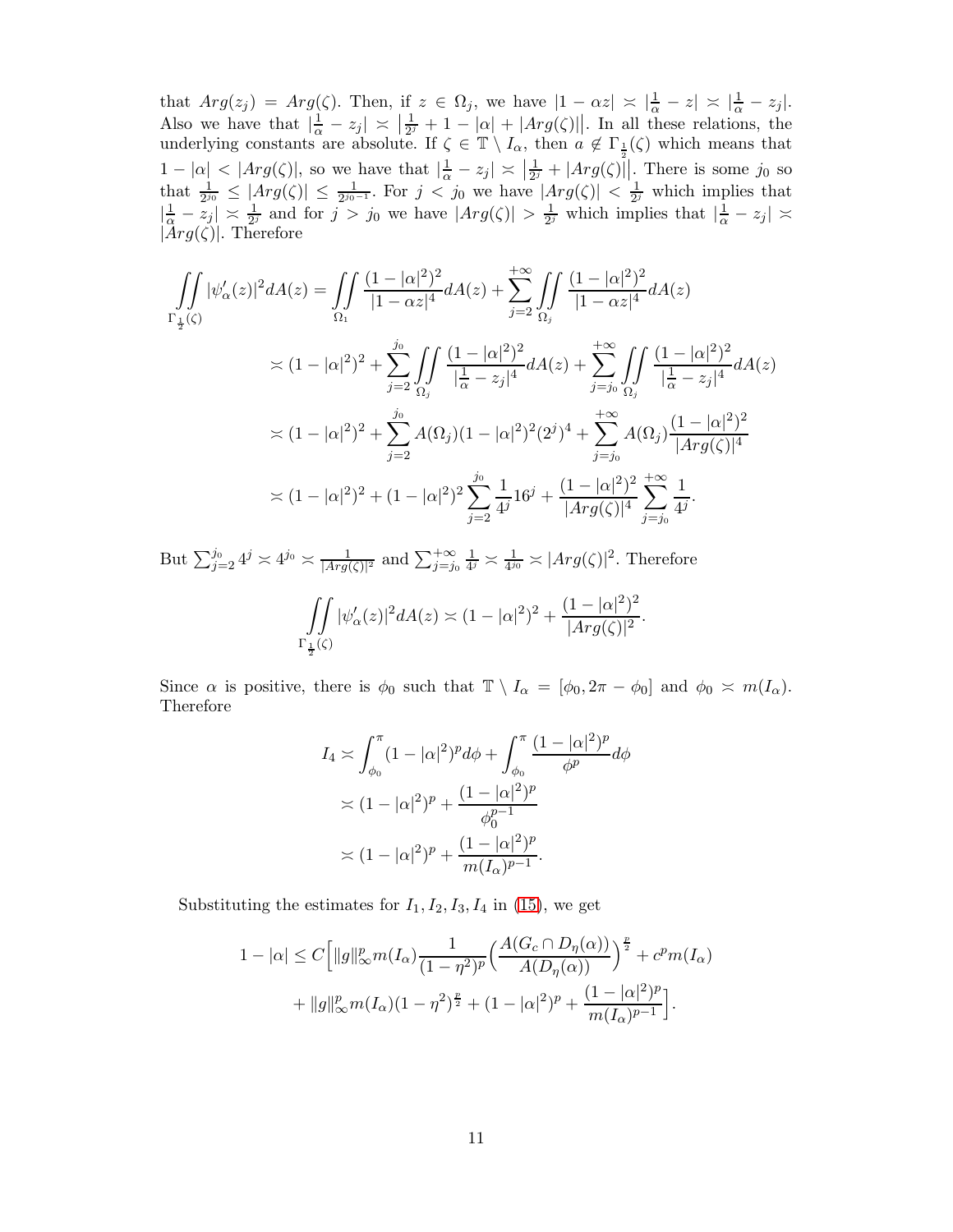that  $Arg(z_j) = Arg(\zeta)$ . Then, if  $z \in \Omega_j$ , we have  $|1 - \alpha z| \asymp |\frac{1}{\alpha} - z| \asymp |\frac{1}{\alpha} - z_j|$ . Also we have that  $\left|\frac{1}{\alpha} - z_j\right| \asymp \left|\frac{1}{2^j}\right|$  $\frac{1}{2^j} + 1 - |\alpha| + |Arg(\zeta)||$ . In all these relations, the underlying constants are absolute. If  $\zeta \in \mathbb{T} \setminus I_\alpha$ , then  $a \notin \Gamma_{\frac{1}{2}}(\zeta)$  which means that  $1 - |\alpha| < |Arg(\zeta)|$ , so we have that  $|\frac{1}{\alpha} - z_j| \asymp |\frac{1}{2^j}|$  $\frac{1}{2^j}$  +  $|Arg(\zeta)||$ . There is some  $j_0$  so that  $\frac{1}{2^{j_0}} \leq |Arg(\zeta)| \leq \frac{1}{2^{j_0-1}}$ . For  $j < j_0$  we have  $|Arg(\zeta)| < \frac{1}{2^j}$  which implies that  $\left|\frac{1}{\alpha}-z_j\right| \asymp \frac{1}{2^j}$  and for  $j > j_0$  we have  $|Arg(\zeta)| > \frac{1}{2^j}$  $\frac{1}{2^j}$  which implies that  $|\frac{1}{\alpha} - z_j|$   $\asymp$  $|Arg(\zeta)|$ . Therefore

$$
\iint_{\Gamma_{\frac{1}{2}}(z)} |\psi'_{\alpha}(z)|^2 dA(z) = \iint_{\Omega_1} \frac{(1-|\alpha|^2)^2}{|1-\alpha z|^4} dA(z) + \sum_{j=2}^{+\infty} \iint_{\Omega_j} \frac{(1-|\alpha|^2)^2}{|1-\alpha z|^4} dA(z)
$$
  
\n
$$
\asymp (1-|\alpha|^2)^2 + \sum_{j=2}^{j_0} \iint_{\Omega_j} \frac{(1-|\alpha|^2)^2}{|\frac{1}{\alpha} - z_j|^4} dA(z) + \sum_{j=j_0}^{+\infty} \iint_{\Omega_j} \frac{(1-|\alpha|^2)^2}{|\frac{1}{\alpha} - z_j|^4} dA(z)
$$
  
\n
$$
\asymp (1-|\alpha|^2)^2 + \sum_{j=2}^{j_0} A(\Omega_j)(1-|\alpha|^2)^2 (2^j)^4 + \sum_{j=j_0}^{+\infty} A(\Omega_j) \frac{(1-|\alpha|^2)^2}{|Arg(\zeta)|^4}
$$
  
\n
$$
\asymp (1-|\alpha|^2)^2 + (1-|\alpha|^2)^2 \sum_{j=2}^{j_0} \frac{1}{4^j} 16^j + \frac{(1-|\alpha|^2)^2}{|Arg(\zeta)|^4} \sum_{j=j_0}^{+\infty} \frac{1}{4^j}.
$$

But  $\sum_{j=2}^{j_0} 4^j \approx 4^{j_0} \approx \frac{1}{|Arg(\zeta)|^2}$  and  $\sum_{j=j_0}^{+\infty} \frac{1}{4^j}$  $\frac{1}{4^j} \approx \frac{1}{4^{j_0}} \approx |Arg(\zeta)|^2$ . Therefore

$$
\iint\limits_{\Gamma_{\frac{1}{2}}(\zeta)} |\psi_{\alpha}'(z)|^2 dA(z) \asymp (1 - |\alpha|^2)^2 + \frac{(1 - |\alpha|^2)^2}{|Arg(\zeta)|^2}.
$$

Since  $\alpha$  is positive, there is  $\phi_0$  such that  $\mathbb{T} \setminus I_\alpha = [\phi_0, 2\pi - \phi_0]$  and  $\phi_0 \approx m(I_\alpha)$ . Therefore

$$
I_4 \asymp \int_{\phi_0}^{\pi} (1 - |\alpha|^2)^p d\phi + \int_{\phi_0}^{\pi} \frac{(1 - |\alpha|^2)^p}{\phi^p} d\phi
$$
  
\n
$$
\asymp (1 - |\alpha|^2)^p + \frac{(1 - |\alpha|^2)^p}{\phi_0^{p-1}}
$$
  
\n
$$
\asymp (1 - |\alpha|^2)^p + \frac{(1 - |\alpha|^2)^p}{m(I_\alpha)^{p-1}}.
$$

Substituting the estimates for  $I_1, I_2, I_3, I_4$  in [\(15\)](#page-9-0), we get

$$
1 - |\alpha| \le C \left[ ||g||_{\infty}^p m(I_\alpha) \frac{1}{(1 - \eta^2)^p} \left( \frac{A(G_c \cap D_\eta(\alpha))}{A(D_\eta(\alpha))} \right)^{\frac{p}{2}} + c^p m(I_\alpha) + ||g||_{\infty}^p m(I_\alpha)(1 - \eta^2)^{\frac{p}{2}} + (1 - |\alpha|^2)^p + \frac{(1 - |\alpha|^2)^p}{m(I_\alpha)^{p-1}} \right].
$$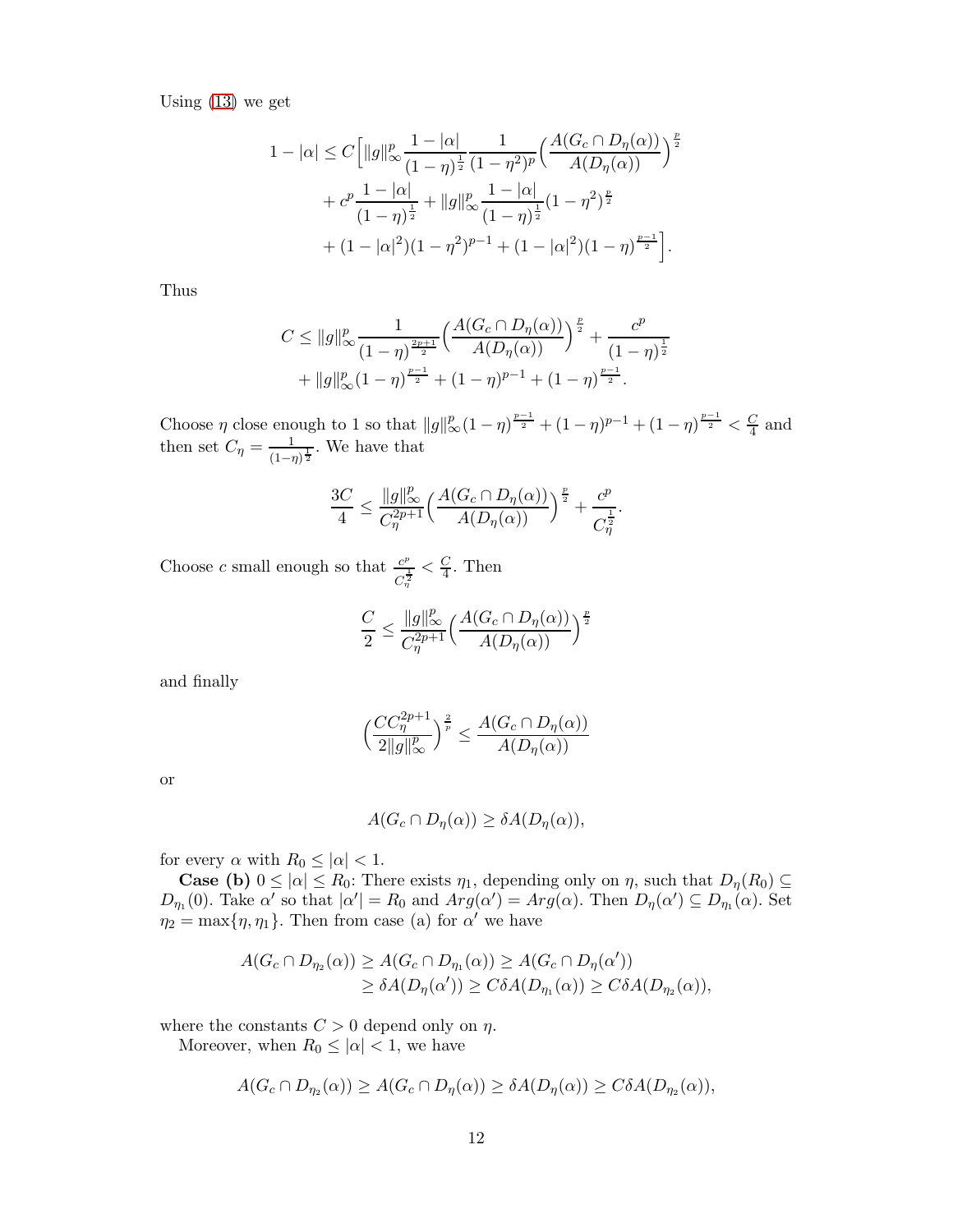Using [\(13\)](#page-8-1) we get

$$
1 - |\alpha| \le C \left[ ||g||_{\infty}^p \frac{1 - |\alpha|}{(1 - \eta)^{\frac{1}{2}}} \frac{1}{(1 - \eta^2)^p} \left( \frac{A(G_c \cap D_{\eta}(\alpha))}{A(D_{\eta}(\alpha))} \right)^{\frac{p}{2}} + c^p \frac{1 - |\alpha|}{(1 - \eta)^{\frac{1}{2}}} + ||g||_{\infty}^p \frac{1 - |\alpha|}{(1 - \eta)^{\frac{1}{2}}} (1 - \eta^2)^{\frac{p}{2}} + (1 - |\alpha|^2)(1 - \eta^2)^{p-1} + (1 - |\alpha|^2)(1 - \eta)^{\frac{p-1}{2}} \right].
$$

Thus

$$
C \le ||g||_{\infty}^p \frac{1}{(1-\eta)^{\frac{2p+1}{2}}} \left( \frac{A(G_c \cap D_{\eta}(\alpha))}{A(D_{\eta}(\alpha))} \right)^{\frac{p}{2}} + \frac{c^p}{(1-\eta)^{\frac{1}{2}}} + ||g||_{\infty}^p (1-\eta)^{\frac{p-1}{2}} + (1-\eta)^{p-1} + (1-\eta)^{\frac{p-1}{2}}.
$$

Choose  $\eta$  close enough to 1 so that  $||g||_{\infty}^p(1-\eta)^{\frac{p-1}{2}} + (1-\eta)^{p-1} + (1-\eta)^{\frac{p-1}{2}} < \frac{C}{4}$  $\frac{C}{4}$  and then set  $C_{\eta} = \frac{1}{(1 - \eta)^2}$  $\frac{1}{(1-\eta)^{\frac{1}{2}}}$ . We have that

$$
\frac{3C}{4} \le \frac{\|g\|_{\infty}^p}{C_{\eta}^{2p+1}} \Big(\frac{A(G_c \cap D_{\eta}(\alpha))}{A(D_{\eta}(\alpha))}\Big)^{\frac{p}{2}} + \frac{c^p}{C_{\eta}^{\frac{1}{2}}}.
$$

Choose c small enough so that  $\frac{c^p}{\cdot}$  $\frac{c^p}{C_n^{\frac{1}{2}}} < \frac{C}{4}$  $\frac{C}{4}$ . Then

$$
\frac{C}{2} \leq \frac{\|g\|_\infty^p}{C_\eta^{2p+1}} \Big(\frac{A(G_c \cap D_\eta(\alpha))}{A(D_\eta(\alpha))}\Big)^{\frac{p}{2}}
$$

and finally

$$
\left(\frac{CC_{\eta}^{2p+1}}{2\|g\|_{\infty}^p}\right)^{\frac{2}{p}} \le \frac{A(G_c \cap D_{\eta}(\alpha))}{A(D_{\eta}(\alpha))}
$$

or

$$
A(G_c \cap D_{\eta}(\alpha)) \geq \delta A(D_{\eta}(\alpha)),
$$

for every  $\alpha$  with  $R_0 \leq |\alpha| < 1$ .

**Case (b)**  $0 \leq |\alpha| \leq R_0$ : There exists  $\eta_1$ , depending only on  $\eta$ , such that  $D_{\eta}(R_0) \subseteq$  $D_{\eta_1}(0)$ . Take  $\alpha'$  so that  $|\alpha'| = R_0$  and  $Arg(\alpha') = Arg(\alpha)$ . Then  $D_{\eta}(\alpha') \subseteq D_{\eta_1}(\alpha)$ . Set  $\eta_2 = \max{\{\eta, \eta_1\}}$ . Then from case (a) for  $\alpha'$  we have

$$
A(G_c \cap D_{\eta_2}(\alpha)) \ge A(G_c \cap D_{\eta_1}(\alpha)) \ge A(G_c \cap D_{\eta}(\alpha'))
$$
  
 
$$
\ge \delta A(D_{\eta}(\alpha')) \ge C\delta A(D_{\eta_1}(\alpha)) \ge C\delta A(D_{\eta_2}(\alpha)),
$$

where the constants  $C > 0$  depend only on  $\eta$ .

Moreover, when  $R_0 \leq |\alpha| < 1$ , we have

$$
A(G_c \cap D_{\eta_2}(\alpha)) \ge A(G_c \cap D_{\eta}(\alpha)) \ge \delta A(D_{\eta}(\alpha)) \ge C\delta A(D_{\eta_2}(\alpha)),
$$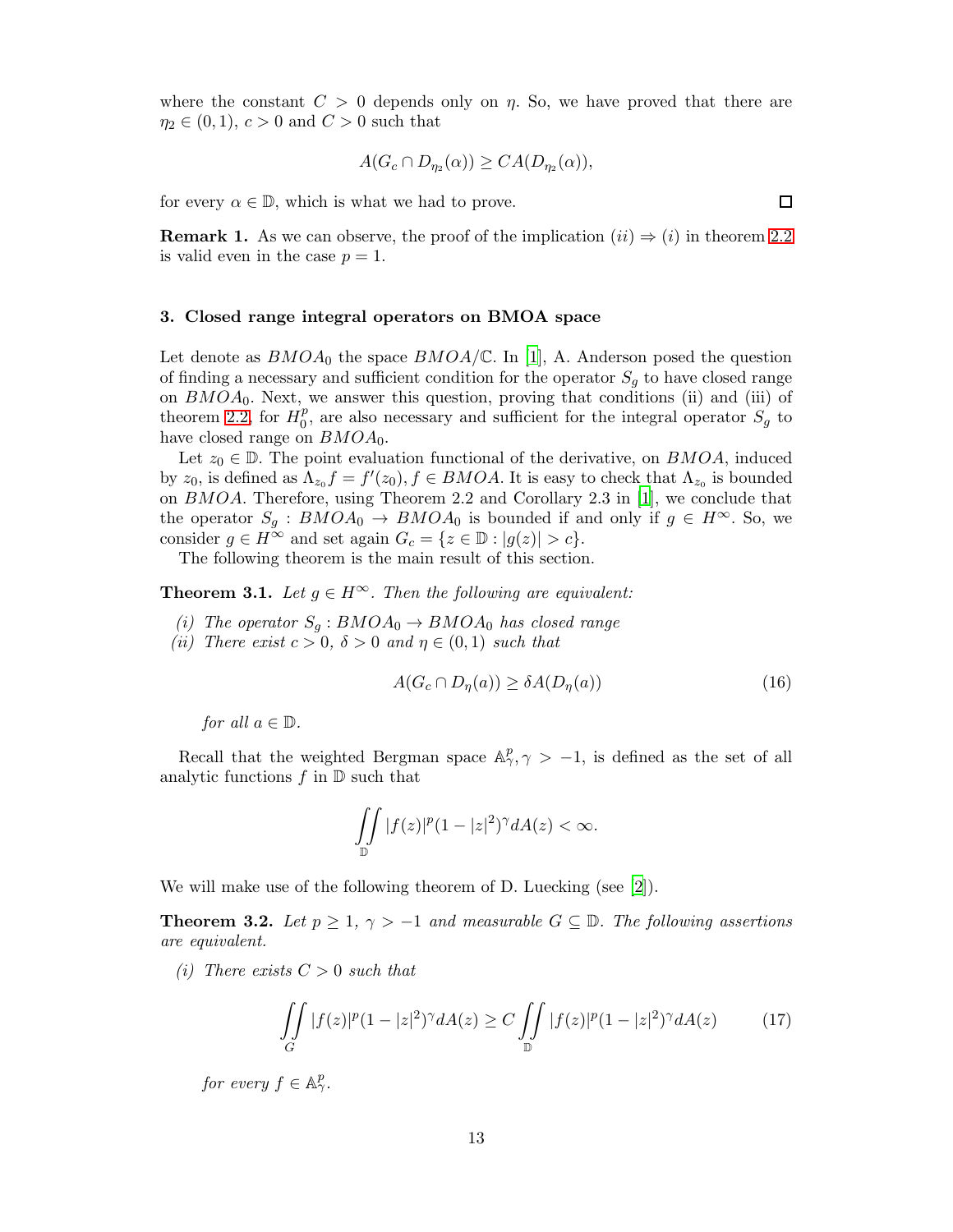where the constant  $C > 0$  depends only on  $\eta$ . So, we have proved that there are  $\eta_2 \in (0,1), c > 0 \text{ and } C > 0 \text{ such that}$ 

$$
A(G_c \cap D_{\eta_2}(\alpha)) \geq CA(D_{\eta_2}(\alpha)),
$$

for every  $\alpha \in \mathbb{D}$ , which is what we had to prove.

**Remark 1.** As we can observe, the proof of the implication  $(ii) \Rightarrow (i)$  in theorem [2.2](#page-3-0) is valid even in the case  $p = 1$ .

#### 3. Closed range integral operators on BMOA space

Let denote as  $BMOA_0$  the space  $BMOA/\mathbb{C}$ . In [\[1\]](#page-17-1), A. Anderson posed the question of finding a necessary and sufficient condition for the operator  $S_q$  to have closed range on  $BMOA_0$ . Next, we answer this question, proving that conditions (ii) and (iii) of theorem [2.2,](#page-3-0) for  $H_0^p$  $_0^p$ , are also necessary and sufficient for the integral operator  $S_g$  to have closed range on  $BMOA_0$ .

Let  $z_0 \in \mathbb{D}$ . The point evaluation functional of the derivative, on BMOA, induced by  $z_0$ , is defined as  $\Lambda_{z_0} f = f'(z_0)$ ,  $f \in BMOA$ . It is easy to check that  $\Lambda_{z_0}$  is bounded on BMOA. Therefore, using Theorem 2.2 and Corollary 2.3 in [\[1\]](#page-17-1), we conclude that the operator  $S_g : BMOA_0 \to BMOA_0$  is bounded if and only if  $g \in H^{\infty}$ . So, we consider  $g \in H^{\infty}$  and set again  $G_c = \{z \in \mathbb{D} : |g(z)| > c\}.$ 

The following theorem is the main result of this section.

<span id="page-12-0"></span>**Theorem 3.1.** Let  $q \in H^\infty$ . Then the following are equivalent:

- *(i)* The operator  $S_q : BMOA_0 \rightarrow BMOA_0$  has closed range
- *(ii)* There exist  $c > 0$ ,  $\delta > 0$  and  $\eta \in (0, 1)$  such that

<span id="page-12-1"></span>
$$
A(G_c \cap D_{\eta}(a)) \geq \delta A(D_{\eta}(a))\tag{16}
$$

*for all*  $a \in \mathbb{D}$ *.* 

Recall that the weighted Bergman space  $\mathbb{A}_{\gamma}^p$ ,  $\gamma > -1$ , is defined as the set of all analytic functions  $f$  in  $\mathbb D$  such that

$$
\iint\limits_{\mathbb{D}}|f(z)|^p(1-|z|^2)^{\gamma}dA(z)<\infty.
$$

We will make use of the following theorem of D. Luecking (see [\[2](#page-17-2)]).

<span id="page-12-2"></span>**Theorem 3.2.** Let  $p \geq 1$ ,  $\gamma > -1$  and measurable  $G \subseteq \mathbb{D}$ . The following assertions *are equivalent.*

*(i)* There exists  $C > 0$  *such that* 

<span id="page-12-3"></span>
$$
\iint\limits_G |f(z)|^p (1-|z|^2)^\gamma dA(z) \ge C \iint\limits_{\mathbb{D}} |f(z)|^p (1-|z|^2)^\gamma dA(z) \tag{17}
$$

*for every*  $f \in \mathbb{A}_{\gamma}^p$ .

 $\Box$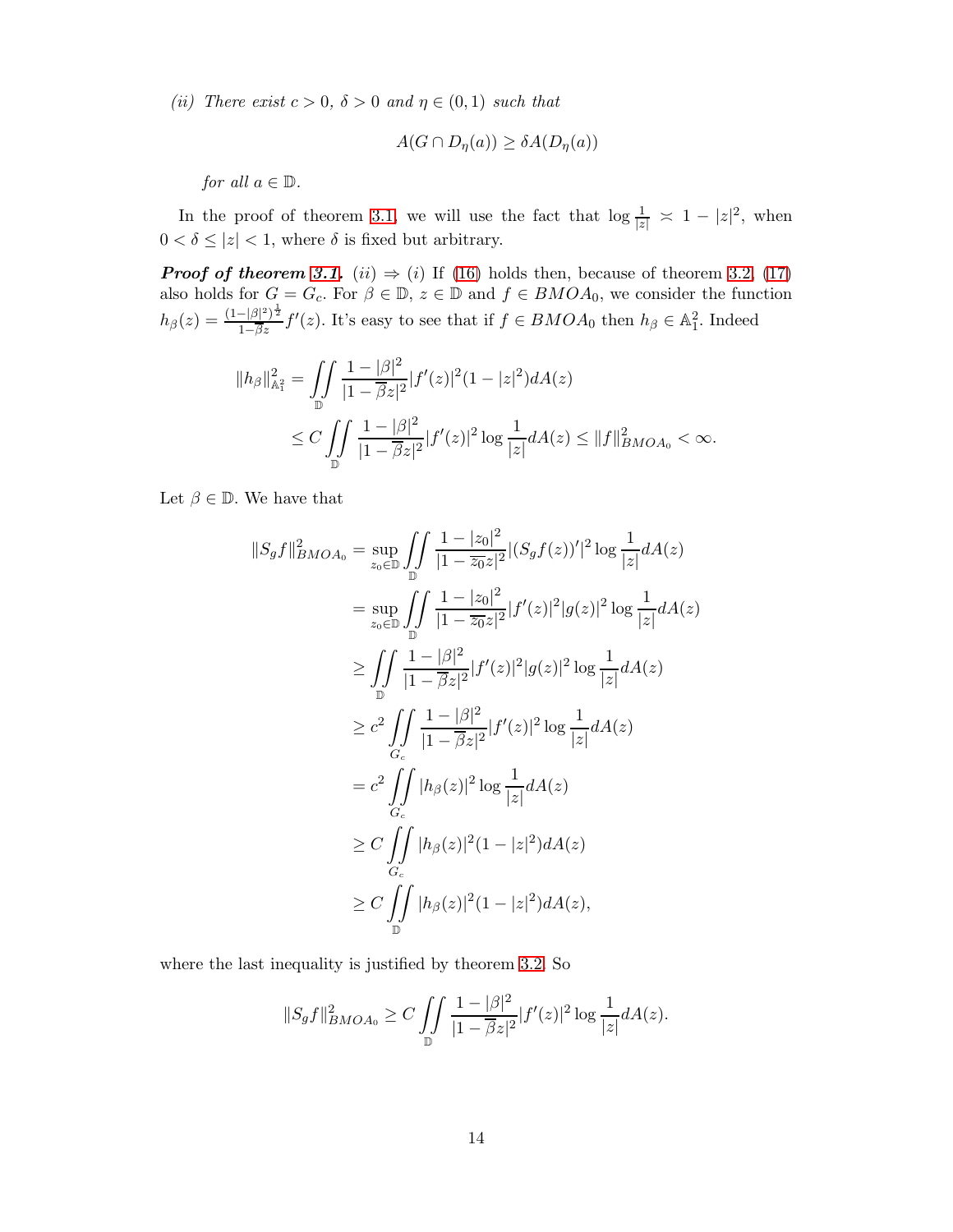*(ii)* There exist  $c > 0$ ,  $\delta > 0$  and  $\eta \in (0, 1)$  such that

$$
A(G \cap D_{\eta}(a)) \geq \delta A(D_{\eta}(a))
$$

*for all*  $a \in \mathbb{D}$ *.* 

In the proof of theorem [3.1,](#page-12-0) we will use the fact that  $\log \frac{1}{|z|} \approx 1 - |z|^2$ , when  $0 < \delta \leq |z| < 1$ , where  $\delta$  is fixed but arbitrary.

**Proof of theorem [3.1.](#page-12-0)** (ii)  $\Rightarrow$  (i) If [\(16\)](#page-12-1) holds then, because of theorem [3.2,](#page-12-2) [\(17\)](#page-12-3) also holds for  $G = G_c$ . For  $\beta \in \mathbb{D}$ ,  $z \in \mathbb{D}$  and  $f \in BMOA_0$ , we consider the function  $h_{\beta}(z) = \frac{(1-|\beta|^2)^{\frac{1}{2}}}{1-\overline{\beta}z}f'(z)$ . It's easy to see that if  $f \in BMOA_0$  then  $h_{\beta} \in \mathbb{A}^2_1$ . Indeed

$$
||h_{\beta}||_{\mathbb{A}_{1}^{2}}^{2} = \iint_{\mathbb{D}} \frac{1 - |\beta|^{2}}{|1 - \overline{\beta}z|^{2}} |f'(z)|^{2} (1 - |z|^{2}) dA(z)
$$
  
 
$$
\leq C \iint_{\mathbb{D}} \frac{1 - |\beta|^{2}}{|1 - \overline{\beta}z|^{2}} |f'(z)|^{2} \log \frac{1}{|z|} dA(z) \leq ||f||_{BMOA_{0}}^{2} < \infty.
$$

Let  $\beta \in \mathbb{D}$ . We have that

$$
||S_g f||_{BMOA_0}^2 = \sup_{z_0 \in \mathbb{D}} \iint_{\mathbb{D}} \frac{1 - |z_0|^2}{|1 - \overline{z_0}z|^2} |(S_g f(z))'|^2 \log \frac{1}{|z|} dA(z)
$$
  
\n
$$
= \sup_{z_0 \in \mathbb{D}} \iint_{\mathbb{D}} \frac{1 - |z_0|^2}{|1 - \overline{z_0}z|^2} |f'(z)|^2 |g(z)|^2 \log \frac{1}{|z|} dA(z)
$$
  
\n
$$
\geq \iint_{\mathbb{D}} \frac{1 - |\beta|^2}{|1 - \overline{\beta}z|^2} |f'(z)|^2 |g(z)|^2 \log \frac{1}{|z|} dA(z)
$$
  
\n
$$
\geq c^2 \iint_{G_c} \frac{1 - |\beta|^2}{|1 - \overline{\beta}z|^2} |f'(z)|^2 \log \frac{1}{|z|} dA(z)
$$
  
\n
$$
= c^2 \iint_{G_c} |h_\beta(z)|^2 \log \frac{1}{|z|} dA(z)
$$
  
\n
$$
\geq C \iint_{G_c} |h_\beta(z)|^2 (1 - |z|^2) dA(z)
$$
  
\n
$$
\geq C \iint_{\mathbb{D}} |h_\beta(z)|^2 (1 - |z|^2) dA(z),
$$

where the last inequality is justified by theorem [3.2.](#page-12-2) So

$$
||S_g f||_{BMOA_0}^2 \ge C \iint\limits_{\mathbb{D}} \frac{1 - |\beta|^2}{|1 - \overline{\beta}z|^2} |f'(z)|^2 \log \frac{1}{|z|} dA(z).
$$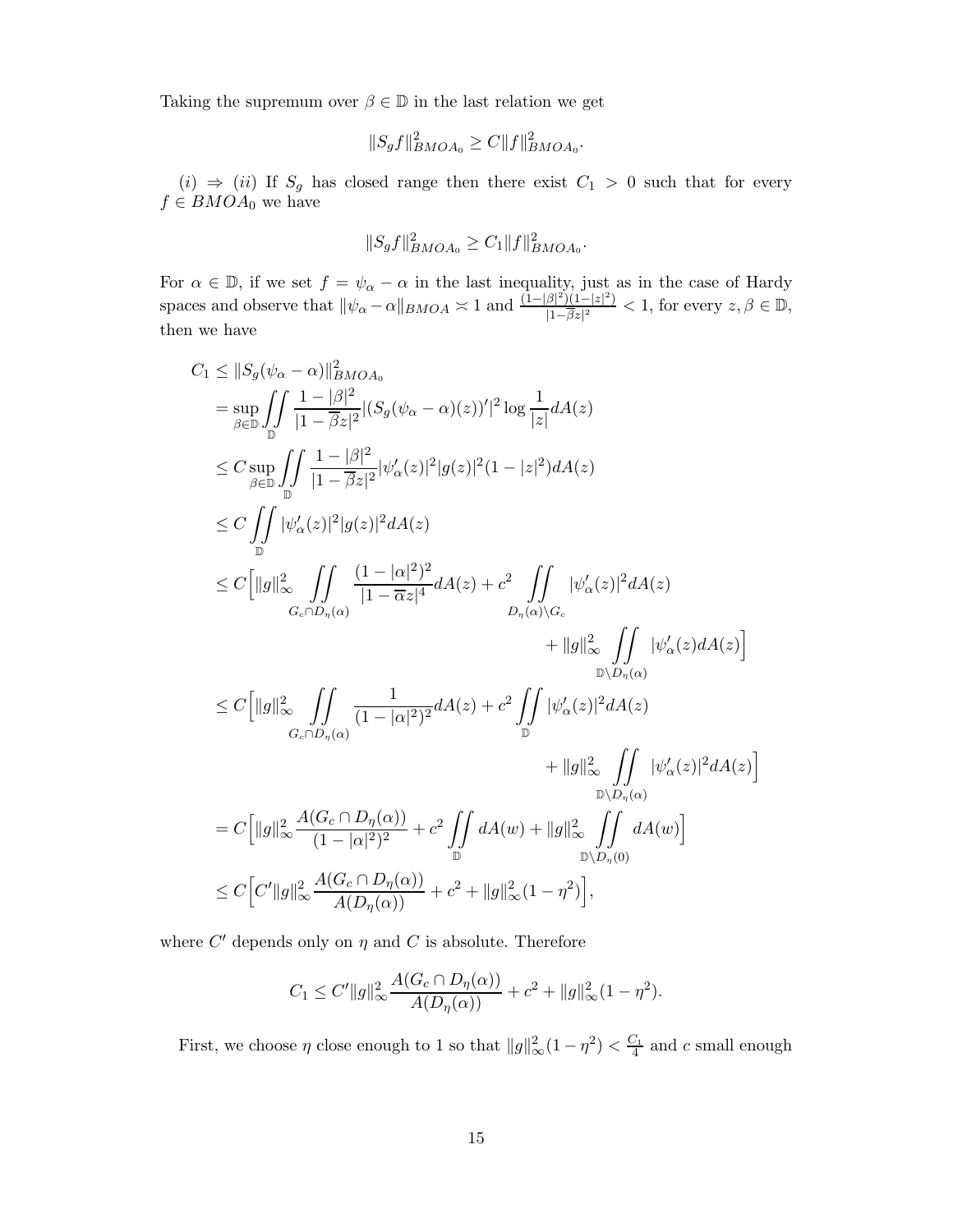Taking the supremum over  $\beta \in \mathbb{D}$  in the last relation we get

$$
||S_g f||_{BMOA_0}^2 \ge C ||f||_{BMOA_0}^2.
$$

 $(i)$  ⇒  $(ii)$  If  $S_g$  has closed range then there exist  $C_1 > 0$  such that for every  $f \in BMOA_0$  we have

$$
||S_g f||_{BMOA_0}^2 \ge C_1 ||f||_{BMOA_0}^2.
$$

For  $\alpha \in \mathbb{D}$ , if we set  $f = \psi_{\alpha} - \alpha$  in the last inequality, just as in the case of Hardy spaces and observe that  $\|\psi_{\alpha} - \alpha\|_{BMOA} \approx 1$  and  $\frac{(1-|\beta|^2)(1-|z|^2)}{|1-\overline{\beta}_2|^2}$  $\frac{\beta|^{2}(1-|z|^{2})}{|1-\beta z|^{2}} < 1$ , for every  $z, \beta \in \mathbb{D}$ , then we have

$$
C_{1} \leq ||S_{g}(\psi_{\alpha} - \alpha)||_{BMOA_{0}}^{2}
$$
\n
$$
= \sup_{\beta \in \mathbb{D}} \iint_{\mathbb{D}} \frac{1 - |\beta|^{2}}{|1 - \beta z|^{2}} |(S_{g}(\psi_{\alpha} - \alpha)(z))'|^{2} \log \frac{1}{|z|} dA(z)
$$
\n
$$
\leq C \sup_{\beta \in \mathbb{D}} \iint_{\mathbb{D}} \frac{1 - |\beta|^{2}}{|1 - \beta z|^{2}} |\psi_{\alpha}'(z)|^{2} |g(z)|^{2} (1 - |z|^{2}) dA(z)
$$
\n
$$
\leq C \iint_{\mathbb{D}} |\psi_{\alpha}'(z)|^{2} |g(z)|^{2} dA(z)
$$
\n
$$
\leq C \left[ ||g||_{\infty}^{2} \iint_{G_{\alpha} \cap D_{\eta}(\alpha)} \frac{(1 - |\alpha|^{2})^{2}}{|1 - \alpha z|^{4}} dA(z) + c^{2} \iint_{D_{\eta}(\alpha)} |\psi_{\alpha}'(z)|^{2} dA(z)
$$
\n
$$
+ ||g||_{\infty}^{2} \iint_{D_{\eta}(\alpha)} |\psi_{\alpha}'(z) dA(z)|
$$
\n
$$
\leq C \left[ ||g||_{\infty}^{2} \iint_{G_{\alpha} \cap D_{\eta}(\alpha)} \frac{1}{(1 - |\alpha|^{2})^{2}} dA(z) + c^{2} \iint_{\mathbb{D}} |\psi_{\alpha}'(z)|^{2} dA(z)
$$
\n
$$
+ ||g||_{\infty}^{2} \iint_{D_{\eta}(\alpha)} |\psi_{\alpha}'(z)|^{2} dA(z) \right]
$$
\n
$$
= C \left[ ||g||_{\infty}^{2} \frac{A(G_{\alpha} \cap D_{\eta}(\alpha))}{(1 - |\alpha|^{2})^{2}} + c^{2} \iint_{\mathbb{D}} dA(w) + ||g||_{\infty}^{2} \iint_{D_{\eta}(\alpha)} dA(w) \right]
$$
\n
$$
\leq C \left[ C'||g||_{\infty}^{2} \frac{A(G_{\alpha} \cap D_{\eta}(\alpha))}{A(D_{\eta}(\alpha))} + c^{2} + ||g||_{\infty}^{2} (1 - \eta^{2}) \right],
$$

where  $C'$  depends only on  $\eta$  and  $C$  is absolute. Therefore

$$
C_1 \le C' \|g\|_{\infty}^2 \frac{A(G_c \cap D_{\eta}(\alpha))}{A(D_{\eta}(\alpha))} + c^2 + \|g\|_{\infty}^2 (1 - \eta^2).
$$

First, we choose  $\eta$  close enough to 1 so that  $||g||_{\infty}^2(1-\eta^2) < \frac{C_1}{4}$  and c small enough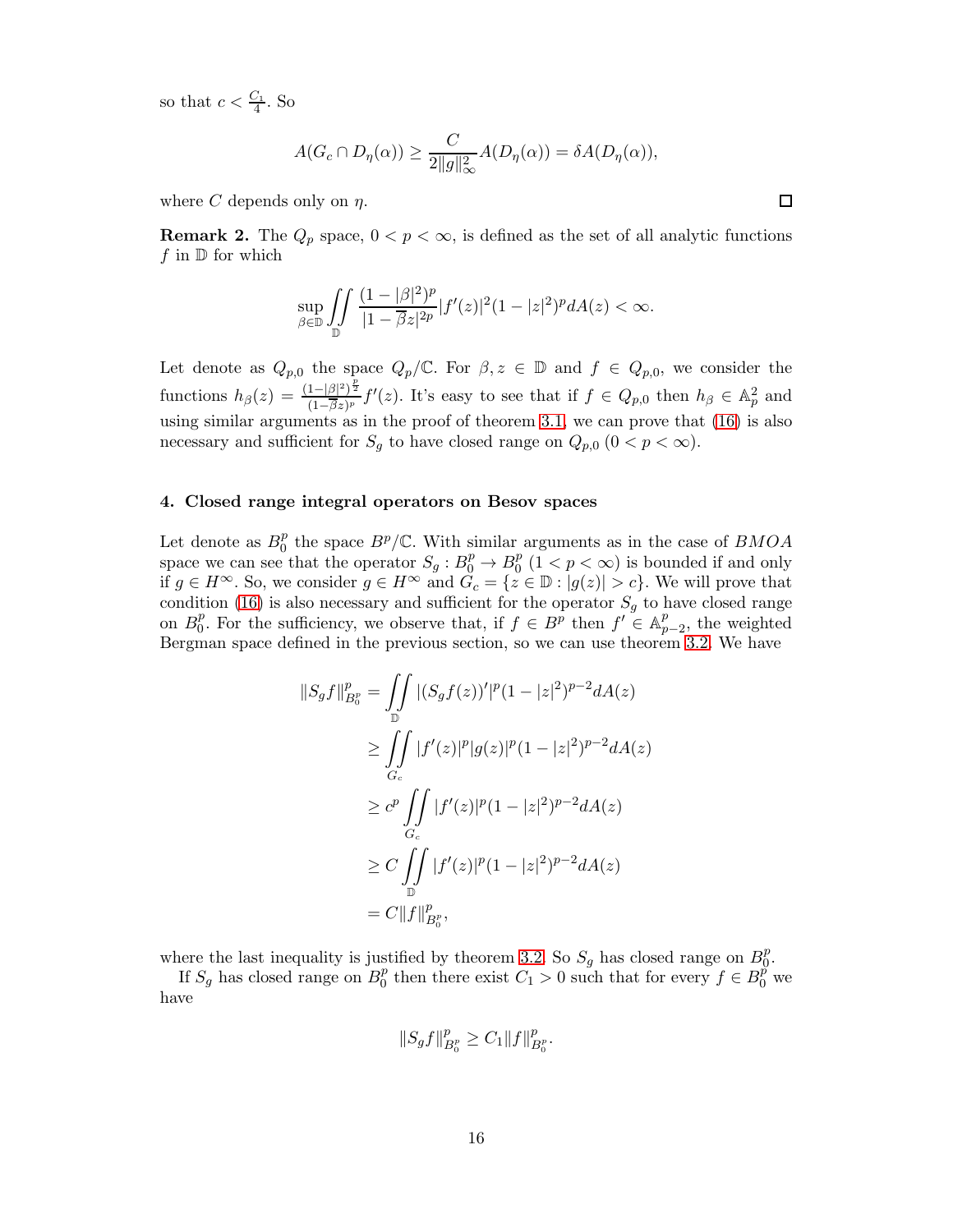so that  $c < \frac{C_1}{4}$ . So

$$
A(G_c \cap D_{\eta}(\alpha)) \ge \frac{C}{2||g||_{\infty}^2} A(D_{\eta}(\alpha)) = \delta A(D_{\eta}(\alpha)),
$$

where C depends only on  $\eta$ .

**Remark 2.** The  $Q_p$  space,  $0 < p < \infty$ , is defined as the set of all analytic functions f in  $\mathbb D$  for which

$$
\sup_{\beta\in\mathbb{D}}\iint\limits_{\mathbb{D}}\frac{(1-|\beta|^2)^p}{|1-\overline{\beta}z|^{2p}}|f'(z)|^2(1-|z|^2)^pdA(z)<\infty.
$$

Let denote as  $Q_{p,0}$  the space  $Q_p/\mathbb{C}$ . For  $\beta, z \in \mathbb{D}$  and  $f \in Q_{p,0}$ , we consider the functions  $h_{\beta}(z) = \frac{(1-|\beta|^2)^{\frac{p}{2}}}{(1-\overline{\beta}z)^p}$  $\frac{1-|\beta|^2}{(1-\beta z)^p} f'(z)$ . It's easy to see that if  $f \in Q_{p,0}$  then  $h_{\beta} \in \mathbb{A}_p^2$  and using similar arguments as in the proof of theorem [3.1,](#page-12-0) we can prove that [\(16\)](#page-12-1) is also necessary and sufficient for  $S_g$  to have closed range on  $Q_{p,0}$   $(0 < p < \infty)$ .

#### 4. Closed range integral operators on Besov spaces

Let denote as  $B_0^p$  $_0^p$  the space  $B^p/\mathbb{C}$ . With similar arguments as in the case of  $BMOA$ space we can see that the operator  $S_g: B_0^p \to B_0^p$  $_0^p$   $(1 < p < \infty)$  is bounded if and only if  $g \in H^{\infty}$ . So, we consider  $g \in H^{\infty}$  and  $\widetilde{G}_c = \{z \in \mathbb{D} : |g(z)| > c\}$ . We will prove that condition [\(16\)](#page-12-1) is also necessary and sufficient for the operator  $S_g$  to have closed range on  $B_0^p$ <sup>p</sup><sub>0</sub>. For the sufficiency, we observe that, if  $f \in B^{\overline{p}}$  then  $f' \in A_p^p$  $_{p-2}^p$ , the weighted Bergman space defined in the previous section, so we can use theorem [3.2.](#page-12-2) We have

$$
||S_g f||_{B_0^p}^p = \iint_D |(S_g f(z))'|^p (1 - |z|^2)^{p-2} dA(z)
$$
  
\n
$$
\geq \iint_{G_c} |f'(z)|^p |g(z)|^p (1 - |z|^2)^{p-2} dA(z)
$$
  
\n
$$
\geq c^p \iint_{G_c} |f'(z)|^p (1 - |z|^2)^{p-2} dA(z)
$$
  
\n
$$
\geq C \iint_D |f'(z)|^p (1 - |z|^2)^{p-2} dA(z)
$$
  
\n
$$
= C ||f||_{B_0^p}^p,
$$

where the last inequality is justified by theorem [3.2.](#page-12-2) So  $S_g$  has closed range on  $B_0^p$  $_0^p.$ 

If  $S_g$  has closed range on  $B_0^p$  $_0^p$  then there exist  $C_1 > 0$  such that for every  $f \in B_0^p$  we have

$$
||S_gf||_{B_0^p}^p \geq C_1 ||f||_{B_0^p}^p.
$$

 $\Box$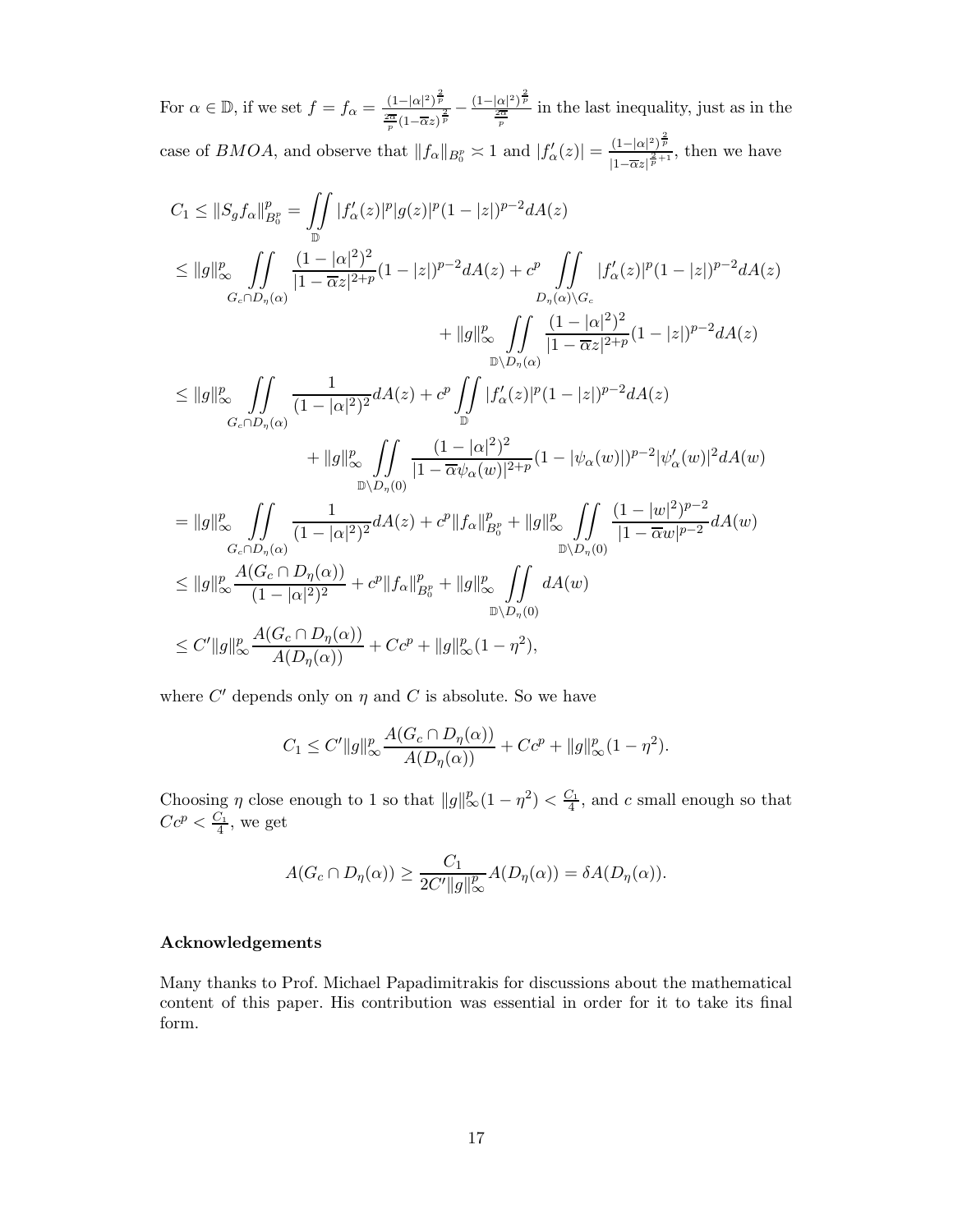For  $\alpha \in \mathbb{D}$ , if we set  $f = f_{\alpha} = \frac{(1-|\alpha|^2)^{\frac{2}{p}}}{2\pi}$  $\frac{(1-|\alpha|^2)^{\frac{2}{p}}}{\frac{2\overline{\alpha}}{p}(1-\overline{\alpha}z)^{\frac{2}{p}}}=\frac{(1-|\alpha|^2)^{\frac{2}{p}}}{\frac{2\overline{\alpha}}{p}}$  $\frac{\alpha}{p^{\frac{2\alpha}{n}}}$  in the last inequality, just as in the case of *BMOA*, and observe that  $||f_{\alpha}||_{B_0^p} \approx 1$  and  $|f'_{\alpha}(z)| = \frac{(1-|\alpha|^2)^{\frac{2}{p}}}{|1-\overline{\alpha}|^{\frac{2}{p}+1}}$  $\frac{(1-|\alpha|)^p}{|1-\overline{\alpha}z|^{\frac{2}{p}+1}}$ , then we have

$$
C_{1} \leq ||S_{g}f_{\alpha}||_{B_{0}^{\alpha}}^{p} = \iint_{\mathbb{D}} |f'_{\alpha}(z)|^{p} |g(z)|^{p} (1 - |z|)^{p-2} dA(z)
$$
  
\n
$$
\leq ||g||_{\infty}^{p} \iint_{G_{c} \cap D_{\eta}(\alpha)} \frac{(1 - |\alpha|^{2})^{2}}{|1 - \overline{\alpha}z|^{2+p}} (1 - |z|)^{p-2} dA(z) + c^{p} \iint_{D_{\eta}(\alpha) \setminus G_{c}} |f'_{\alpha}(z)|^{p} (1 - |z|)^{p-2} dA(z)
$$
  
\n
$$
\leq ||g||_{\infty}^{p} \iint_{G_{c} \cap D_{\eta}(\alpha)} \frac{1}{(1 - |\alpha|^{2})^{2}} dA(z) + c^{p} \iint_{\mathbb{D}} |f'_{\alpha}(z)|^{p} (1 - |z|)^{p-2} dA(z)
$$
  
\n
$$
\leq ||g||_{\infty}^{p} \iint_{G_{c} \cap D_{\eta}(\alpha)} \frac{1}{(1 - |\alpha|^{2})^{2}} dA(z) + c^{p} \iint_{\mathbb{D}} |f'_{\alpha}(z)|^{p} (1 - |z|)^{p-2} dA(z)
$$
  
\n
$$
+ ||g||_{\infty}^{p} \iint_{D_{\eta}(\alpha)} \frac{(1 - |\alpha|^{2})^{2}}{|1 - \overline{\alpha} \psi_{\alpha}(w)|^{2+p}} (1 - |\psi_{\alpha}(w)|)^{p-2} |\psi'_{\alpha}(w)|^{2} dA(w)
$$
  
\n
$$
= ||g||_{\infty}^{p} \iint_{G_{c} \cap D_{\eta}(\alpha)} \frac{1}{(1 - |\alpha|^{2})^{2}} dA(z) + c^{p} ||f_{\alpha}||_{B_{0}^{\alpha}}^{p} + ||g||_{\infty}^{p} \iint_{\mathbb{D}_{\eta}(\mathbf{0})} \frac{(1 - |w|^{2})^{p-2}}{|1 - \overline{\alpha} w|^{p-2}} dA(w)
$$
  
\n
$$
\leq ||g||_{\infty}^{p} \frac{A(G_{c} \cap D_{\eta}(\alpha))}{(1 - |\alpha|^{2})^{2}} + c^{p} ||f_{\alpha}||_{B_{0}^{\alpha
$$

where  $C'$  depends only on  $\eta$  and  $C$  is absolute. So we have

$$
C_1 \le C' \|g\|_{\infty}^p \frac{A(G_c \cap D_{\eta}(\alpha))}{A(D_{\eta}(\alpha))} + Cc^p + \|g\|_{\infty}^p (1 - \eta^2).
$$

Choosing  $\eta$  close enough to 1 so that  $||g||_{\infty}^p(1-\eta^2) < \frac{C_1}{4}$ , and c small enough so that  $Cc^p < \frac{C_1}{4}$ , we get

$$
A(G_c \cap D_{\eta}(\alpha)) \ge \frac{C_1}{2C' \|g\|_{\infty}^p} A(D_{\eta}(\alpha)) = \delta A(D_{\eta}(\alpha)).
$$

### Acknowledgements

Many thanks to Prof. Michael Papadimitrakis for discussions about the mathematical content of this paper. His contribution was essential in order for it to take its final form.